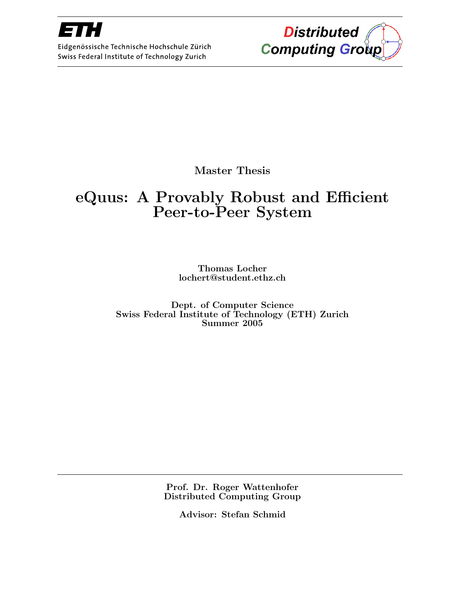

Eidgenössische Technische Hochschule Zürich Swiss Federal Institute of Technology Zurich



Master Thesis

### eQuus: A Provably Robust and Efficient Peer-to-Peer System

Thomas Locher lochert@student.ethz.ch

Dept. of Computer Science Swiss Federal Institute of Technology (ETH) Zurich Summer 2005

> Prof. Dr. Roger Wattenhofer Distributed Computing Group

> > Advisor: Stefan Schmid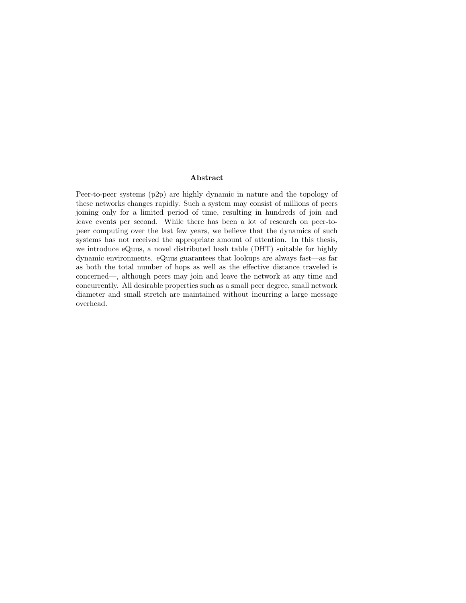#### Abstract

Peer-to-peer systems (p2p) are highly dynamic in nature and the topology of these networks changes rapidly. Such a system may consist of millions of peers joining only for a limited period of time, resulting in hundreds of join and leave events per second. While there has been a lot of research on peer-topeer computing over the last few years, we believe that the dynamics of such systems has not received the appropriate amount of attention. In this thesis, we introduce eQuus, a novel distributed hash table (DHT) suitable for highly dynamic environments. eQuus guarantees that lookups are always fast—as far as both the total number of hops as well as the effective distance traveled is concerned—, although peers may join and leave the network at any time and concurrently. All desirable properties such as a small peer degree, small network diameter and small stretch are maintained without incurring a large message overhead.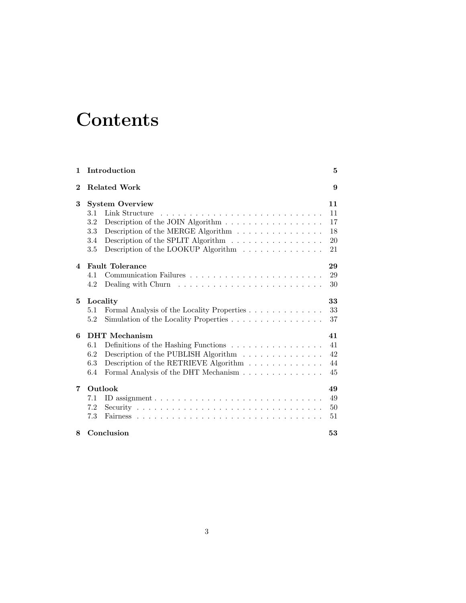# **Contents**

| 1        | Introduction                                                                                        | 5  |
|----------|-----------------------------------------------------------------------------------------------------|----|
| $\bf{2}$ | <b>Related Work</b>                                                                                 | 9  |
| 3        | <b>System Overview</b>                                                                              | 11 |
|          | Link Structure<br>3.1                                                                               | 11 |
|          | 3.2                                                                                                 | 17 |
|          | Description of the MERGE Algorithm $\;\ldots\; \ldots\; \ldots\; \ldots\; \ldots\; \ldots\;$<br>3.3 | 18 |
|          | Description of the SPLIT Algorithm<br>3.4                                                           | 20 |
|          | Description of the LOOKUP Algorithm $\ldots \ldots \ldots \ldots$<br>3.5                            | 21 |
| 4        | <b>Fault Tolerance</b>                                                                              | 29 |
|          | 4.1                                                                                                 | 29 |
|          | Dealing with Churn $\dots \dots \dots \dots \dots \dots \dots \dots \dots$<br>4.2                   | 30 |
| 5        | Locality                                                                                            | 33 |
|          | Formal Analysis of the Locality Properties<br>5.1                                                   | 33 |
|          | Simulation of the Locality Properties<br>5.2                                                        | 37 |
| 6        | <b>DHT</b> Mechanism                                                                                | 41 |
|          | Definitions of the Hashing Functions $\ldots \ldots \ldots \ldots \ldots$<br>6.1                    | 41 |
|          | 6.2<br>Description of the PUBLISH Algorithm $\hfill\ldots\ldots\ldots\ldots\ldots\ldots$            | 42 |
|          | 6.3<br>Description of the RETRIEVE Algorithm $\ldots \ldots \ldots \ldots$                          | 44 |
|          | Formal Analysis of the DHT Mechanism<br>6.4                                                         | 45 |
| 7        | Outlook                                                                                             | 49 |
|          | 7.1                                                                                                 | 49 |
|          | 7.2                                                                                                 | 50 |
|          | 7.3                                                                                                 | 51 |
| 8        | Conclusion                                                                                          | 53 |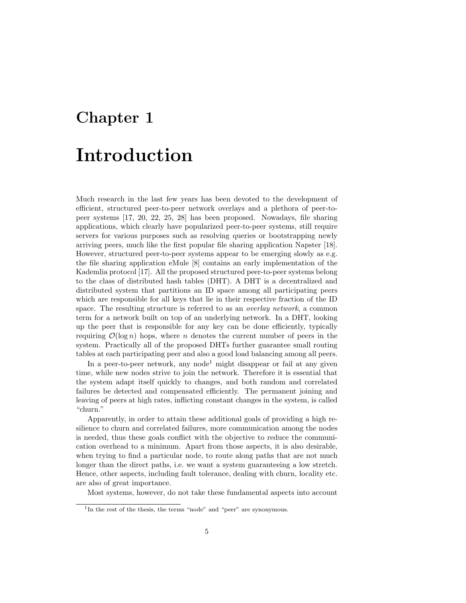# Chapter 1

# Introduction

Much research in the last few years has been devoted to the development of efficient, structured peer-to-peer network overlays and a plethora of peer-topeer systems [17, 20, 22, 25, 28] has been proposed. Nowadays, file sharing applications, which clearly have popularized peer-to-peer systems, still require servers for various purposes such as resolving queries or bootstrapping newly arriving peers, much like the first popular file sharing application Napster [18]. However, structured peer-to-peer systems appear to be emerging slowly as e.g. the file sharing application eMule [8] contains an early implementation of the Kademlia protocol [17]. All the proposed structured peer-to-peer systems belong to the class of distributed hash tables (DHT). A DHT is a decentralized and distributed system that partitions an ID space among all participating peers which are responsible for all keys that lie in their respective fraction of the ID space. The resulting structure is referred to as an *overlay network*, a common term for a network built on top of an underlying network. In a DHT, looking up the peer that is responsible for any key can be done efficiently, typically requiring  $\mathcal{O}(\log n)$  hops, where *n* denotes the current number of peers in the system. Practically all of the proposed DHTs further guarantee small routing tables at each participating peer and also a good load balancing among all peers.

In a peer-to-peer network, any node<sup>1</sup> might disappear or fail at any given time, while new nodes strive to join the network. Therefore it is essential that the system adapt itself quickly to changes, and both random and correlated failures be detected and compensated efficiently. The permanent joining and leaving of peers at high rates, inflicting constant changes in the system, is called "churn."

Apparently, in order to attain these additional goals of providing a high resilience to churn and correlated failures, more communication among the nodes is needed, thus these goals conflict with the objective to reduce the communication overhead to a minimum. Apart from those aspects, it is also desirable, when trying to find a particular node, to route along paths that are not much longer than the direct paths, i.e. we want a system guaranteeing a low stretch. Hence, other aspects, including fault tolerance, dealing with churn, locality etc. are also of great importance.

Most systems, however, do not take these fundamental aspects into account

<sup>&</sup>lt;sup>1</sup>In the rest of the thesis, the terms "node" and "peer" are synonymous.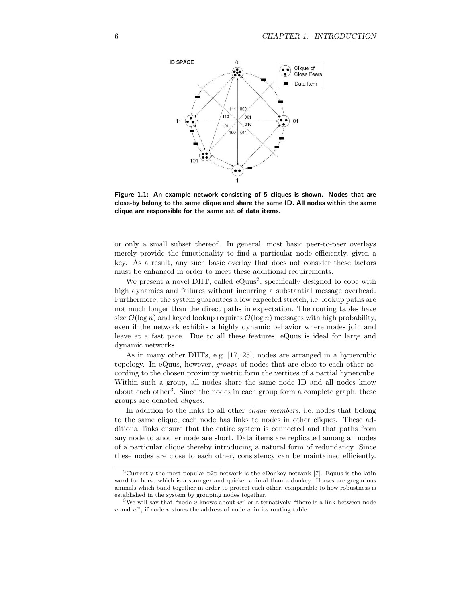

Figure 1.1: An example network consisting of 5 cliques is shown. Nodes that are close-by belong to the same clique and share the same ID. All nodes within the same clique are responsible for the same set of data items.

or only a small subset thereof. In general, most basic peer-to-peer overlays merely provide the functionality to find a particular node efficiently, given a key. As a result, any such basic overlay that does not consider these factors must be enhanced in order to meet these additional requirements.

We present a novel DHT, called  $eQuus^2$ , specifically designed to cope with high dynamics and failures without incurring a substantial message overhead. Furthermore, the system guarantees a low expected stretch, i.e. lookup paths are not much longer than the direct paths in expectation. The routing tables have size  $\mathcal{O}(\log n)$  and keyed lookup requires  $\mathcal{O}(\log n)$  messages with high probability, even if the network exhibits a highly dynamic behavior where nodes join and leave at a fast pace. Due to all these features, eQuus is ideal for large and dynamic networks.

As in many other DHTs, e.g. [17, 25], nodes are arranged in a hypercubic topology. In eQuus, however, groups of nodes that are close to each other according to the chosen proximity metric form the vertices of a partial hypercube. Within such a group, all nodes share the same node ID and all nodes know about each other<sup>3</sup>. Since the nodes in each group form a complete graph, these groups are denoted cliques.

In addition to the links to all other *clique members*, i.e. nodes that belong to the same clique, each node has links to nodes in other cliques. These additional links ensure that the entire system is connected and that paths from any node to another node are short. Data items are replicated among all nodes of a particular clique thereby introducing a natural form of redundancy. Since these nodes are close to each other, consistency can be maintained efficiently.

<sup>2</sup>Currently the most popular p2p network is the eDonkey network [7]. Equus is the latin word for horse which is a stronger and quicker animal than a donkey. Horses are gregarious animals which band together in order to protect each other, comparable to how robustness is established in the system by grouping nodes together.

<sup>&</sup>lt;sup>3</sup>We will say that "node  $v$  knows about  $w$ " or alternatively "there is a link between node  $v$  and  $w$  , if node  $v$  stores the address of node  $w$  in its routing table.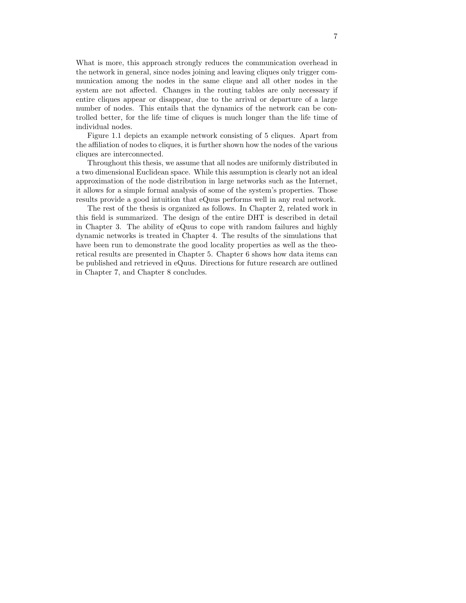What is more, this approach strongly reduces the communication overhead in the network in general, since nodes joining and leaving cliques only trigger communication among the nodes in the same clique and all other nodes in the system are not affected. Changes in the routing tables are only necessary if entire cliques appear or disappear, due to the arrival or departure of a large number of nodes. This entails that the dynamics of the network can be controlled better, for the life time of cliques is much longer than the life time of individual nodes.

Figure 1.1 depicts an example network consisting of 5 cliques. Apart from the affiliation of nodes to cliques, it is further shown how the nodes of the various cliques are interconnected.

Throughout this thesis, we assume that all nodes are uniformly distributed in a two dimensional Euclidean space. While this assumption is clearly not an ideal approximation of the node distribution in large networks such as the Internet, it allows for a simple formal analysis of some of the system's properties. Those results provide a good intuition that eQuus performs well in any real network.

The rest of the thesis is organized as follows. In Chapter 2, related work in this field is summarized. The design of the entire DHT is described in detail in Chapter 3. The ability of eQuus to cope with random failures and highly dynamic networks is treated in Chapter 4. The results of the simulations that have been run to demonstrate the good locality properties as well as the theoretical results are presented in Chapter 5. Chapter 6 shows how data items can be published and retrieved in eQuus. Directions for future research are outlined in Chapter 7, and Chapter 8 concludes.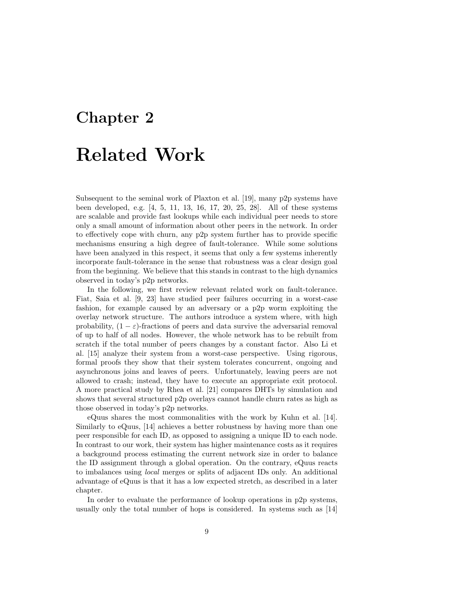### Chapter 2

# Related Work

Subsequent to the seminal work of Plaxton et al. [19], many p2p systems have been developed, e.g. [4, 5, 11, 13, 16, 17, 20, 25, 28]. All of these systems are scalable and provide fast lookups while each individual peer needs to store only a small amount of information about other peers in the network. In order to effectively cope with churn, any p2p system further has to provide specific mechanisms ensuring a high degree of fault-tolerance. While some solutions have been analyzed in this respect, it seems that only a few systems inherently incorporate fault-tolerance in the sense that robustness was a clear design goal from the beginning. We believe that this stands in contrast to the high dynamics observed in today's p2p networks.

In the following, we first review relevant related work on fault-tolerance. Fiat, Saia et al. [9, 23] have studied peer failures occurring in a worst-case fashion, for example caused by an adversary or a p2p worm exploiting the overlay network structure. The authors introduce a system where, with high probability,  $(1 - \varepsilon)$ -fractions of peers and data survive the adversarial removal of up to half of all nodes. However, the whole network has to be rebuilt from scratch if the total number of peers changes by a constant factor. Also Li et al. [15] analyze their system from a worst-case perspective. Using rigorous, formal proofs they show that their system tolerates concurrent, ongoing and asynchronous joins and leaves of peers. Unfortunately, leaving peers are not allowed to crash; instead, they have to execute an appropriate exit protocol. A more practical study by Rhea et al. [21] compares DHTs by simulation and shows that several structured p2p overlays cannot handle churn rates as high as those observed in today's p2p networks.

eQuus shares the most commonalities with the work by Kuhn et al. [14]. Similarly to eQuus, [14] achieves a better robustness by having more than one peer responsible for each ID, as opposed to assigning a unique ID to each node. In contrast to our work, their system has higher maintenance costs as it requires a background process estimating the current network size in order to balance the ID assignment through a global operation. On the contrary, eQuus reacts to imbalances using local merges or splits of adjacent IDs only. An additional advantage of eQuus is that it has a low expected stretch, as described in a later chapter.

In order to evaluate the performance of lookup operations in p2p systems, usually only the total number of hops is considered. In systems such as [14]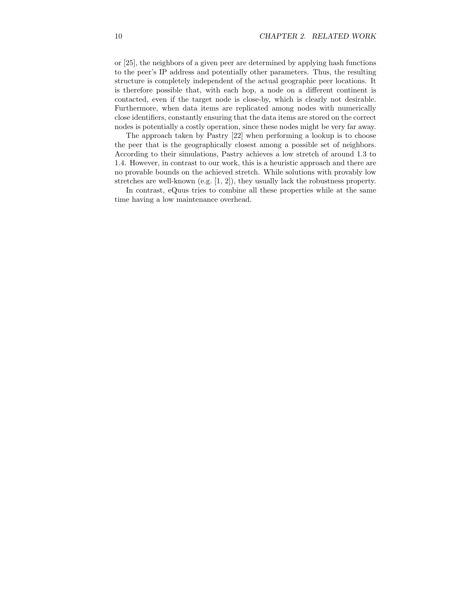or [25], the neighbors of a given peer are determined by applying hash functions to the peer's IP address and potentially other parameters. Thus, the resulting structure is completely independent of the actual geographic peer locations. It is therefore possible that, with each hop, a node on a different continent is contacted, even if the target node is close-by, which is clearly not desirable. Furthermore, when data items are replicated among nodes with numerically close identifiers, constantly ensuring that the data items are stored on the correct nodes is potentially a costly operation, since these nodes might be very far away.

The approach taken by Pastry [22] when performing a lookup is to choose the peer that is the geographically closest among a possible set of neighbors. According to their simulations, Pastry achieves a low stretch of around 1.3 to 1.4. However, in contrast to our work, this is a heuristic approach and there are no provable bounds on the achieved stretch. While solutions with provably low stretches are well-known (e.g. [1, 2]), they usually lack the robustness property.

In contrast, eQuus tries to combine all these properties while at the same time having a low maintenance overhead.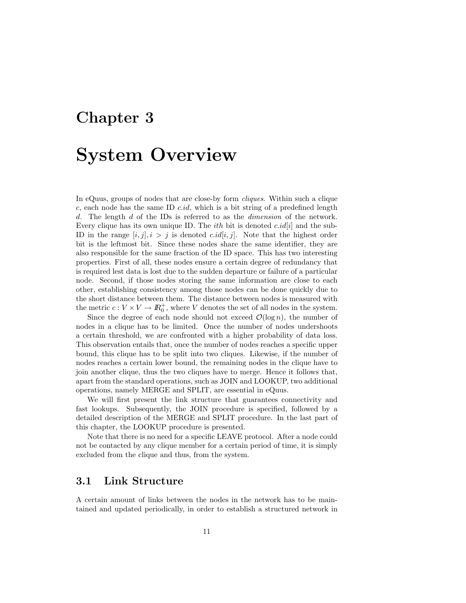### Chapter 3

### System Overview

In eQuus, groups of nodes that are close-by form cliques. Within such a clique c, each node has the same ID  $c.id$ , which is a bit string of a predefined length d. The length d of the IDs is referred to as the *dimension* of the network. Every clique has its own unique ID. The *ith* bit is denoted  $c.id[i]$  and the sub-ID in the range  $[i, j], i > j$  is denoted  $c.id[i, j]$ . Note that the highest order bit is the leftmost bit. Since these nodes share the same identifier, they are also responsible for the same fraction of the ID space. This has two interesting properties. First of all, these nodes ensure a certain degree of redundancy that is required lest data is lost due to the sudden departure or failure of a particular node. Second, if those nodes storing the same information are close to each other, establishing consistency among those nodes can be done quickly due to the short distance between them. The distance between nodes is measured with the metric  $c: V \times V \to \mathbb{R}_0^+$ , where V denotes the set of all nodes in the system.

Since the degree of each node should not exceed  $\mathcal{O}(\log n)$ , the number of nodes in a clique has to be limited. Once the number of nodes undershoots a certain threshold, we are confronted with a higher probability of data loss. This observation entails that, once the number of nodes reaches a specific upper bound, this clique has to be split into two cliques. Likewise, if the number of nodes reaches a certain lower bound, the remaining nodes in the clique have to join another clique, thus the two cliques have to merge. Hence it follows that, apart from the standard operations, such as JOIN and LOOKUP, two additional operations, namely MERGE and SPLIT, are essential in eQuus.

We will first present the link structure that guarantees connectivity and fast lookups. Subsequently, the JOIN procedure is specified, followed by a detailed description of the MERGE and SPLIT procedure. In the last part of this chapter, the LOOKUP procedure is presented.

Note that there is no need for a specific LEAVE protocol. After a node could not be contacted by any clique member for a certain period of time, it is simply excluded from the clique and thus, from the system.

#### 3.1 Link Structure

A certain amount of links between the nodes in the network has to be maintained and updated periodically, in order to establish a structured network in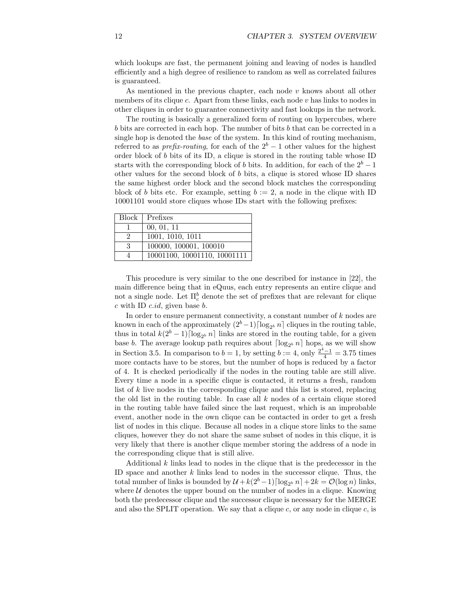which lookups are fast, the permanent joining and leaving of nodes is handled efficiently and a high degree of resilience to random as well as correlated failures is guaranteed.

As mentioned in the previous chapter, each node  $v$  knows about all other members of its clique  $c$ . Apart from these links, each node  $v$  has links to nodes in other cliques in order to guarantee connectivity and fast lookups in the network.

The routing is basically a generalized form of routing on hypercubes, where b bits are corrected in each hop. The number of bits b that can be corrected in a single hop is denoted the base of the system. In this kind of routing mechanism, referred to as *prefix-routing*, for each of the  $2<sup>b</sup> - 1$  other values for the highest order block of  $b$  bits of its ID, a clique is stored in the routing table whose ID starts with the corresponding block of b bits. In addition, for each of the  $2<sup>b</sup> - 1$ other values for the second block of b bits, a clique is stored whose ID shares the same highest order block and the second block matches the corresponding block of b bits etc. For example, setting  $b := 2$ , a node in the clique with ID 10001101 would store cliques whose IDs start with the following prefixes:

|   | Block   Prefixes             |
|---|------------------------------|
|   | 00, 01, 11                   |
| 9 | 1001, 1010, 1011             |
| 3 | 100000, 100001, 100010       |
|   | 10001100, 10001110, 10001111 |

This procedure is very similar to the one described for instance in [22], the main difference being that in eQuus, each entry represents an entire clique and not a single node. Let  $\Pi_c^b$  denote the set of prefixes that are relevant for clique  $c$  with ID  $c.id$ , given base  $b$ .

In order to ensure permanent connectivity, a constant number of k nodes are known in each of the approximately  $(2<sup>b</sup> - 1) \lceil \log_{2<sup>b</sup>} n \rceil$  cliques in the routing table, thus in total  $k(2^b - 1) \lceil \log_{2^b} n \rceil$  links are stored in the routing table, for a given base b. The average lookup path requires about  $\lceil \log_{2^b} n \rceil$  hops, as we will show in Section 3.5. In comparison to  $b = 1$ , by setting  $b := 4$ , only  $\frac{2^4 - 1}{4} = 3.75$  times more contacts have to be stores, but the number of hops is reduced by a factor of 4. It is checked periodically if the nodes in the routing table are still alive. Every time a node in a specific clique is contacted, it returns a fresh, random list of k live nodes in the corresponding clique and this list is stored, replacing the old list in the routing table. In case all  $k$  nodes of a certain clique stored in the routing table have failed since the last request, which is an improbable event, another node in the own clique can be contacted in order to get a fresh list of nodes in this clique. Because all nodes in a clique store links to the same cliques, however they do not share the same subset of nodes in this clique, it is very likely that there is another clique member storing the address of a node in the corresponding clique that is still alive.

Additional  $k$  links lead to nodes in the clique that is the predecessor in the ID space and another  $k$  links lead to nodes in the successor clique. Thus, the total number of links is bounded by  $\mathcal{U} + k(2^b - 1)\lceil \log_{2^b} n \rceil + 2k = \mathcal{O}(\log n)$  links, where  $U$  denotes the upper bound on the number of nodes in a clique. Knowing both the predecessor clique and the successor clique is necessary for the MERGE and also the SPLIT operation. We say that a clique  $c$ , or any node in clique  $c$ , is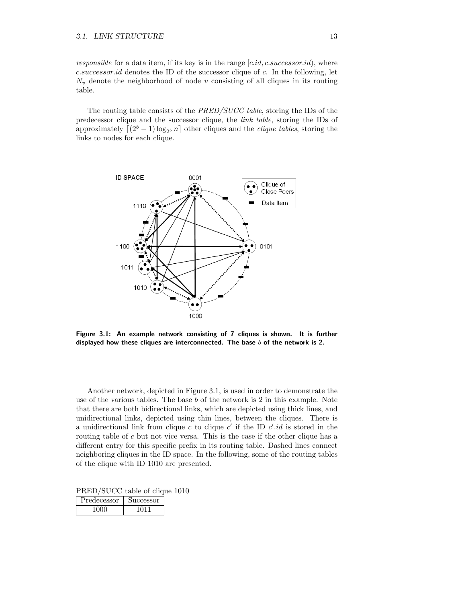responsible for a data item, if its key is in the range  $[c.id, c.successor.id)$ , where c.successor.id denotes the ID of the successor clique of c. In the following, let  $N_v$  denote the neighborhood of node v consisting of all cliques in its routing table.

The routing table consists of the PRED/SUCC table, storing the IDs of the predecessor clique and the successor clique, the link table, storing the IDs of approximately  $\left[ (2^{b} - 1) \log_{2^{b}} n \right]$  other cliques and the *clique tables*, storing the links to nodes for each clique.



Figure 3.1: An example network consisting of 7 cliques is shown. It is further displayed how these cliques are interconnected. The base  $b$  of the network is 2.

Another network, depicted in Figure 3.1, is used in order to demonstrate the use of the various tables. The base  $b$  of the network is 2 in this example. Note that there are both bidirectional links, which are depicted using thick lines, and unidirectional links, depicted using thin lines, between the cliques. There is a unidirectional link from clique c to clique  $c'$  if the ID  $c'.id$  is stored in the routing table of c but not vice versa. This is the case if the other clique has a different entry for this specific prefix in its routing table. Dashed lines connect neighboring cliques in the ID space. In the following, some of the routing tables of the clique with ID 1010 are presented.

PRED/SUCC table of clique 1010

| Predecessor | 11CCessor |
|-------------|-----------|
| 17 N N 1    |           |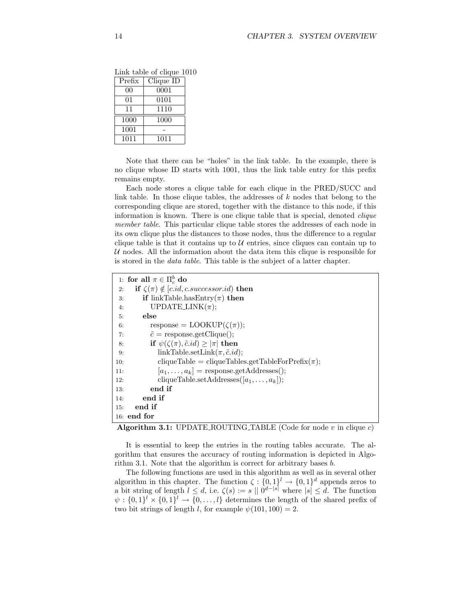| Prefix | Clique ID |  |
|--------|-----------|--|
| 00     | 0001      |  |
| 01     | 0101      |  |
| 11     | 1110      |  |
| 1000   | 1000      |  |
| 1001   |           |  |
| 1011   | 1011      |  |

Link table of clique 1010

Note that there can be "holes" in the link table. In the example, there is no clique whose ID starts with 1001, thus the link table entry for this prefix remains empty.

Each node stores a clique table for each clique in the PRED/SUCC and link table. In those clique tables, the addresses of  $k$  nodes that belong to the corresponding clique are stored, together with the distance to this node, if this information is known. There is one clique table that is special, denoted clique member table. This particular clique table stores the addresses of each node in its own clique plus the distances to those nodes, thus the difference to a regular clique table is that it contains up to  $U$  entries, since cliques can contain up to  $U$  nodes. All the information about the data item this clique is responsible for is stored in the data table. This table is the subject of a latter chapter.

```
1: for all \pi \in \Pi_c^b do
 2: if \zeta(\pi) \notin [c.id, c.successor.id) then<br>3: if linkTable.hasEntry(\pi) then
         if linkTable.hasEntry(\pi) then
 4: UPDATE_LINK(\pi);
 5: else
 6: response = \text{LOOKUP}(\zeta(\pi));7: \tilde{c} = response.getClique();
 8: if \psi(\zeta(\pi), \tilde{c}.id) \ge |\pi| then<br>9: iinkTable.setLink(\pi, \tilde{c}.idlinkTable.setLink(\pi, \tilde{c}.id);
10: cliqueTable = cliqueTables.getTableForPrefix(\pi);
11: [a_1, \ldots, a_k] = response.getAddresses();
12: cliqueTable.setAddresses([a_1, \ldots, a_k]);
13: end if
14: end if
15: end if
16: end for
```
Algorithm 3.1: UPDATE\_ROUTING\_TABLE (Code for node  $v$  in clique  $c$ )

It is essential to keep the entries in the routing tables accurate. The algorithm that ensures the accuracy of routing information is depicted in Algorithm 3.1. Note that the algorithm is correct for arbitrary bases b.

The following functions are used in this algorithm as well as in several other algorithm in this chapter. The function  $\zeta: \{0,1\}^l \to \{0,1\}^d$  appends zeros to a bit string of length  $l \leq d$ , i.e.  $\zeta(s) := s \mid 0^{d-|s|}$  where  $|s| \leq d$ . The function  $\psi: \{0,1\}^l \times \{0,1\}^l \to \{0,\ldots,l\}$  determines the length of the shared prefix of two bit strings of length l, for example  $\psi(101, 100) = 2$ .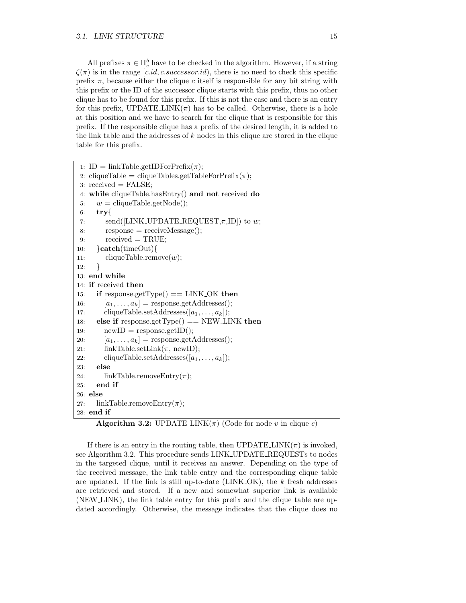All prefixes  $\pi \in \Pi_c^b$  have to be checked in the algorithm. However, if a string  $\zeta(\pi)$  is in the range [c.id, c.successor.id), there is no need to check this specific prefix  $\pi$ , because either the clique c itself is responsible for any bit string with this prefix or the ID of the successor clique starts with this prefix, thus no other clique has to be found for this prefix. If this is not the case and there is an entry for this prefix, UPDATE\_LINK $(\pi)$  has to be called. Otherwise, there is a hole at this position and we have to search for the clique that is responsible for this prefix. If the responsible clique has a prefix of the desired length, it is added to the link table and the addresses of  $k$  nodes in this clique are stored in the clique table for this prefix.

```
1: ID = linkTable.getIDFor\text{Prefix}(\pi);2: cliqueTable = cliqueTables.getTableForPrefix(\pi);
 3: received = FALSE;
 4: while cliqueTable.hasEntry() and not received do
 5: w = \text{cliqueTable.getNode};
 6: \mathbf{try}\{\mathbf{z}\}send([LINK\_UPDATE\_REQUEST, \pi, ID]) to w;
 8: response = receiveMessage();
 9: \text{received} = \text{TRUE};10: }catch(timeOut){<br>11: cliqueTable.rem
        cliqueTable.remove(w);12: }
13: end while
14: if received then
15: if response.getType() == LINK_OK then
16: [a_1, \ldots, a_k] = response.getAddresses();
17: cliqueTable.setAddresses([a_1, \ldots, a_k]);
18: else if response.getType() == NEWLINK then
19: newID = response.getID();20: [a_1, \ldots, a_k] = response.getAddresses();
21: linkTable.setLink(\pi, newID);22: cliqueTable.setAddresses([a_1, \ldots, a_k]);
23: else
24: linkTable.removeEntry(\pi);
25: end if
26: else
27: linkTable.removeEntry(\pi);
28: end if
```
**Algorithm 3.2:** UPDATE LINK( $\pi$ ) (Code for node v in clique c)

If there is an entry in the routing table, then  $\text{UPDATE} \text{LINK}(\pi)$  is invoked, see Algorithm 3.2. This procedure sends LINK UPDATE REQUESTs to nodes in the targeted clique, until it receives an answer. Depending on the type of the received message, the link table entry and the corresponding clique table are updated. If the link is still up-to-date ( $\text{LINK\_OK}$ ), the k fresh addresses are retrieved and stored. If a new and somewhat superior link is available (NEW LINK), the link table entry for this prefix and the clique table are updated accordingly. Otherwise, the message indicates that the clique does no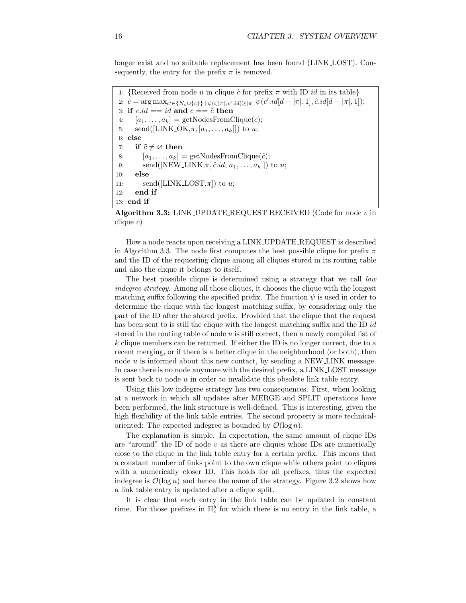longer exist and no suitable replacement has been found (LINK LOST). Consequently, the entry for the prefix  $\pi$  is removed.

```
1: {Received from node u in clique \hat{c} for prefix \pi with ID id in its table}
 2: \tilde{c} = \arg \max_{c' \in \{N_v \cup \{c\}\}} |\psi(\zeta(\pi), c', id)| \ge |\pi| \psi(c', id[d - |\pi|, 1], \hat{c}.id[d - |\pi|, 1]);3: if c.id == id and c == \tilde{c} then
 4: [a_1, \ldots, a_k] = \text{getNodesFromClique}(c);5: send([LINK_OK,\pi, [a_1, \ldots, a_k]]) to u;
 6: else
 7: if \tilde{c} \neq \emptyset then<br>8: [a_1, \ldots, a_k][a_1,\ldots,a_k] = \text{getNodesFromClique}(\tilde{c});9: send([NEW_LINK,\pi, \tilde{c}.id, [a_1, \ldots, a_k]]) to u;
10: else
11: send([LINK_LOST,\pi]) to u;
12: end if
13: end if
```
Algorithm 3.3: LINK\_UPDATE\_REQUEST RECEIVED (Code for node  $v$  in clique  $c$ )

How a node reacts upon receiving a LINK UPDATE REQUEST is described in Algorithm 3.3. The node first computes the best possible clique for prefix  $\pi$ and the ID of the requesting clique among all cliques stored in its routing table and also the clique it belongs to itself.

The best possible clique is determined using a strategy that we call low indegree strategy. Among all those cliques, it chooses the clique with the longest matching suffix following the specified prefix. The function  $\psi$  is used in order to determine the clique with the longest matching suffix, by considering only the part of the ID after the shared prefix. Provided that the clique that the request has been sent to is still the clique with the longest matching suffix and the ID id stored in the routing table of node u is still correct, then a newly compiled list of k clique members can be returned. If either the ID is no longer correct, due to a recent merging, or if there is a better clique in the neighborhood (or both), then node  $u$  is informed about this new contact, by sending a NEW LINK message. In case there is no node anymore with the desired prefix, a LINK LOST message is sent back to node  $u$  in order to invalidate this obsolete link table entry.

Using this low indegree strategy has two consequences. First, when looking at a network in which all updates after MERGE and SPLIT operations have been performed, the link structure is well-defined. This is interesting, given the high flexibility of the link table entries. The second property is more technicaloriented: The expected indegree is bounded by  $\mathcal{O}(\log n)$ .

The explanation is simple. In expectation, the same amount of clique IDs are "around" the ID of node  $v$  as there are cliques whose IDs are numerically close to the clique in the link table entry for a certain prefix. This means that a constant number of links point to the own clique while others point to cliques with a numerically closer ID. This holds for all prefixes, thus the expected indegree is  $\mathcal{O}(\log n)$  and hence the name of the strategy. Figure 3.2 shows how a link table entry is updated after a clique split.

It is clear that each entry in the link table can be updated in constant time. For those prefixes in  $\Pi_c^b$  for which there is no entry in the link table, a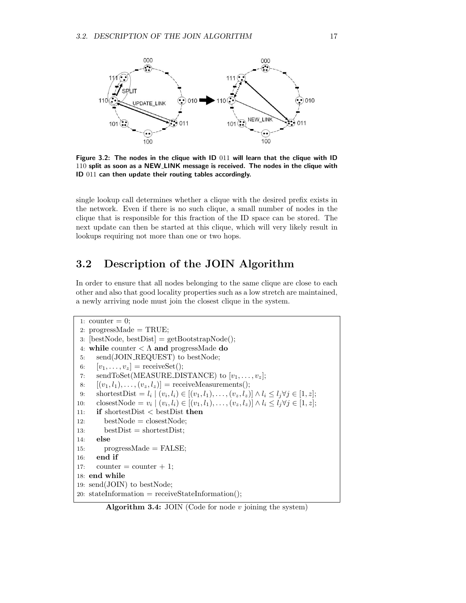

Figure 3.2: The nodes in the clique with ID 011 will learn that the clique with ID 110 split as soon as a NEW\_LINK message is received. The nodes in the clique with ID 011 can then update their routing tables accordingly.

single lookup call determines whether a clique with the desired prefix exists in the network. Even if there is no such clique, a small number of nodes in the clique that is responsible for this fraction of the ID space can be stored. The next update can then be started at this clique, which will very likely result in lookups requiring not more than one or two hops.

### 3.2 Description of the JOIN Algorithm

In order to ensure that all nodes belonging to the same clique are close to each other and also that good locality properties such as a low stretch are maintained, a newly arriving node must join the closest clique in the system.

```
1: counter = 0;
 2: progressMade = TRUE;
 3: [bestNode, bestDist] = getBoosttrapNode();4: while counter \langle \Lambda \rangle and progressMade do
 5: send(JOIN REQUEST) to bestNode;
 6: [v_1, \ldots, v_z] = \text{receiveSet}();
 7: sendToSet(MEASURE_DISTANCE) to [v_1, \ldots, v_z];
 8: [(v_1, l_1), \ldots, (v_z, l_z)] = receiveMeasurements();
 9: shortestDist = l_i | (v_i, l_i) \in [(v_1, l_1), \ldots, (v_z, l_z)] \wedge l_i \leq l_j \forall j \in [1, z];10: closestNode = v_i \mid (v_i, l_i) \in [(v_1, l_1), \ldots, (v_z, l_z)] \wedge l_i \leq l_j \forall j \in [1, z];11: if shortestDist < bestDist then
12: bestNode = closestNode;
13: bestDist = shortestDist;
14: else
15: progressMade = FALSE;
16: end if
17: counter = counter + 1;
18: end while
19: send(JOIN) to bestNode;
20: stateInformation = receiveStateInformation();
```
Algorithm 3.4: JOIN (Code for node  $v$  joining the system)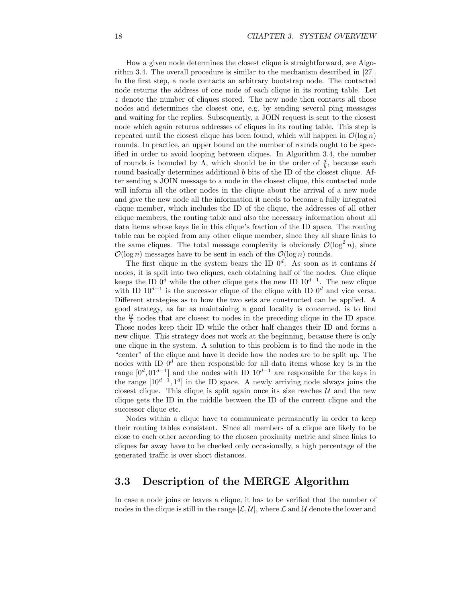How a given node determines the closest clique is straightforward, see Algorithm 3.4. The overall procedure is similar to the mechanism described in [27]. In the first step, a node contacts an arbitrary bootstrap node. The contacted node returns the address of one node of each clique in its routing table. Let z denote the number of cliques stored. The new node then contacts all those nodes and determines the closest one, e.g. by sending several ping messages and waiting for the replies. Subsequently, a JOIN request is sent to the closest node which again returns addresses of cliques in its routing table. This step is repeated until the closest clique has been found, which will happen in  $\mathcal{O}(\log n)$ rounds. In practice, an upper bound on the number of rounds ought to be specified in order to avoid looping between cliques. In Algorithm 3.4, the number of rounds is bounded by  $\Lambda$ , which should be in the order of  $\frac{d}{b}$ , because each round basically determines additional b bits of the ID of the closest clique. After sending a JOIN message to a node in the closest clique, this contacted node will inform all the other nodes in the clique about the arrival of a new node and give the new node all the information it needs to become a fully integrated clique member, which includes the ID of the clique, the addresses of all other clique members, the routing table and also the necessary information about all data items whose keys lie in this clique's fraction of the ID space. The routing table can be copied from any other clique member, since they all share links to the same cliques. The total message complexity is obviously  $\mathcal{O}(\log^2 n)$ , since  $\mathcal{O}(\log n)$  messages have to be sent in each of the  $\mathcal{O}(\log n)$  rounds.

The first clique in the system bears the ID  $0^d$ . As soon as it contains U nodes, it is split into two cliques, each obtaining half of the nodes. One clique keeps the ID  $0^d$  while the other clique gets the new ID  $10^{d-1}$ . The new clique with ID  $10^{d-1}$  is the successor clique of the clique with ID  $0^d$  and vice versa. Different strategies as to how the two sets are constructed can be applied. A good strategy, as far as maintaining a good locality is concerned, is to find the  $\frac{u}{2}$  nodes that are closest to nodes in the preceding clique in the ID space. Those nodes keep their ID while the other half changes their ID and forms a new clique. This strategy does not work at the beginning, because there is only one clique in the system. A solution to this problem is to find the node in the "center" of the clique and have it decide how the nodes are to be split up. The nodes with ID  $0^d$  are then responsible for all data items whose key is in the range  $[0^d, 01^{d-1}]$  and the nodes with ID  $10^{d-1}$  are responsible for the keys in the range  $[10^{d-1}, 1^d]$  in the ID space. A newly arriving node always joins the closest clique. This clique is split again once its size reaches  $\mathcal{U}$  and the new clique gets the ID in the middle between the ID of the current clique and the successor clique etc.

Nodes within a clique have to communicate permanently in order to keep their routing tables consistent. Since all members of a clique are likely to be close to each other according to the chosen proximity metric and since links to cliques far away have to be checked only occasionally, a high percentage of the generated traffic is over short distances.

#### 3.3 Description of the MERGE Algorithm

In case a node joins or leaves a clique, it has to be verified that the number of nodes in the clique is still in the range  $[\mathcal{L}, \mathcal{U}]$ , where  $\mathcal L$  and  $\mathcal U$  denote the lower and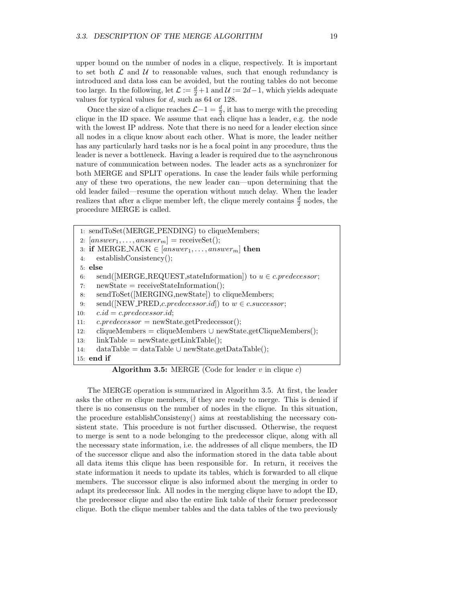upper bound on the number of nodes in a clique, respectively. It is important to set both  $\mathcal L$  and  $\mathcal U$  to reasonable values, such that enough redundancy is introduced and data loss can be avoided, but the routing tables do not become too large. In the following, let  $\mathcal{L} := \frac{d}{2} + 1$  and  $\mathcal{U} := 2d - 1$ , which yields adequate values for typical values for  $d$ , such as 64 or 128.

Once the size of a clique reaches  $\mathcal{L} - 1 = \frac{d}{2}$ , it has to merge with the preceding clique in the ID space. We assume that each clique has a leader, e.g. the node with the lowest IP address. Note that there is no need for a leader election since all nodes in a clique know about each other. What is more, the leader neither has any particularly hard tasks nor is he a focal point in any procedure, thus the leader is never a bottleneck. Having a leader is required due to the asynchronous nature of communication between nodes. The leader acts as a synchronizer for both MERGE and SPLIT operations. In case the leader fails while performing any of these two operations, the new leader can—upon determining that the old leader failed—resume the operation without much delay. When the leader realizes that after a clique member left, the clique merely contains  $\frac{d}{2}$  nodes, the procedure MERGE is called.

1: sendToSet(MERGE PENDING) to cliqueMembers;  $[answer_1, \ldots, answer_m] = \text{receiveSet}$ (); 3: if MERGE\_NACK  $\in$  [answer<sub>1</sub>,..., answer<sub>m</sub>] then<br>4: establishConsistency(): establishConsistency(); 5: else 6: send([MERGE\_REQUEST, stateInformation]) to  $u \in c.\text{predecessor};$ <br>7: newState = receiveStateInformation();  $newState = receiveStateInformation();$ 8: sendToSet([MERGING,newState]) to cliqueMembers; 9: send([NEW\_PRED,*c.predecessor.id*]) to  $w \in c.successor$ ;<br>10:  $c.id = c.predecessary.id;$  $c.id = c.\text{predecessor}.id;$ 11:  $c.\text{predecessor} = \text{newState.getPredecessary}$ ; 12: cliqueMembers = cliqueMembers ∪ newState.getCliqueMembers();<br>13: linkTable = newState.getLinkTable();  $linkTable = newState.getLinkTable();$ 14: dataTable = dataTable ∪ newState.getDataTable(); 15: end if

**Algorithm 3.5:** MERGE (Code for leader  $v$  in clique  $c$ )

The MERGE operation is summarized in Algorithm 3.5. At first, the leader asks the other m clique members, if they are ready to merge. This is denied if there is no consensus on the number of nodes in the clique. In this situation, the procedure establishConsisteny() aims at reestablishing the necessary consistent state. This procedure is not further discussed. Otherwise, the request to merge is sent to a node belonging to the predecessor clique, along with all the necessary state information, i.e. the addresses of all clique members, the ID of the successor clique and also the information stored in the data table about all data items this clique has been responsible for. In return, it receives the state information it needs to update its tables, which is forwarded to all clique members. The successor clique is also informed about the merging in order to adapt its predecessor link. All nodes in the merging clique have to adopt the ID, the predecessor clique and also the entire link table of their former predecessor clique. Both the clique member tables and the data tables of the two previously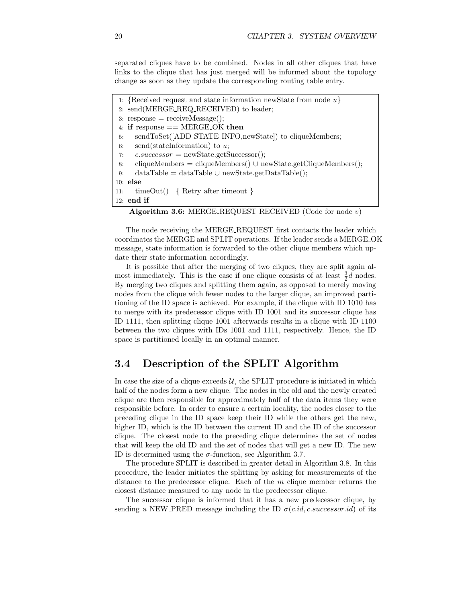separated cliques have to be combined. Nodes in all other cliques that have links to the clique that has just merged will be informed about the topology change as soon as they update the corresponding routing table entry.

```
1: {Received request and state information newState from node u}
 2: send(MERGE REQ RECEIVED) to leader;
 3: response = receiveMessage;
 4: if response == MERGE OK then
 5: sendToSet([ADD STATE INFO,newState]) to cliqueMembers;
 6: send(stateInformation) to u;
 7: c.\text{successor} = \text{newState.getSuccessor};
 8: cliqueMembers = cliqueMembers() ∪ newState.getCliqueMembers();<br>9: dataTable = dataTable ∪ newState.getDataTable();
      dataTable = dataTable \cup newState.getDataTable();10: else
11: timeOut() { Retry after timeout }
12: end if
```

```
Algorithm 3.6: MERGE REQUEST RECEIVED (Code for node v)
```
The node receiving the MERGE REQUEST first contacts the leader which coordinates the MERGE and SPLIT operations. If the leader sends a MERGE OK message, state information is forwarded to the other clique members which update their state information accordingly.

It is possible that after the merging of two cliques, they are split again almost immediately. This is the case if one clique consists of at least  $\frac{3}{2}d$  nodes. By merging two cliques and splitting them again, as opposed to merely moving nodes from the clique with fewer nodes to the larger clique, an improved partitioning of the ID space is achieved. For example, if the clique with ID 1010 has to merge with its predecessor clique with ID 1001 and its successor clique has ID 1111, then splitting clique 1001 afterwards results in a clique with ID 1100 between the two cliques with IDs 1001 and 1111, respectively. Hence, the ID space is partitioned locally in an optimal manner.

### 3.4 Description of the SPLIT Algorithm

In case the size of a clique exceeds  $U$ , the SPLIT procedure is initiated in which half of the nodes form a new clique. The nodes in the old and the newly created clique are then responsible for approximately half of the data items they were responsible before. In order to ensure a certain locality, the nodes closer to the preceding clique in the ID space keep their ID while the others get the new, higher ID, which is the ID between the current ID and the ID of the successor clique. The closest node to the preceding clique determines the set of nodes that will keep the old ID and the set of nodes that will get a new ID. The new ID is determined using the  $\sigma$ -function, see Algorithm 3.7.

The procedure SPLIT is described in greater detail in Algorithm 3.8. In this procedure, the leader initiates the splitting by asking for measurements of the distance to the predecessor clique. Each of the  $m$  clique member returns the closest distance measured to any node in the predecessor clique.

The successor clique is informed that it has a new predecessor clique, by sending a NEW PRED message including the ID  $\sigma(c.id, c.successor.id)$  of its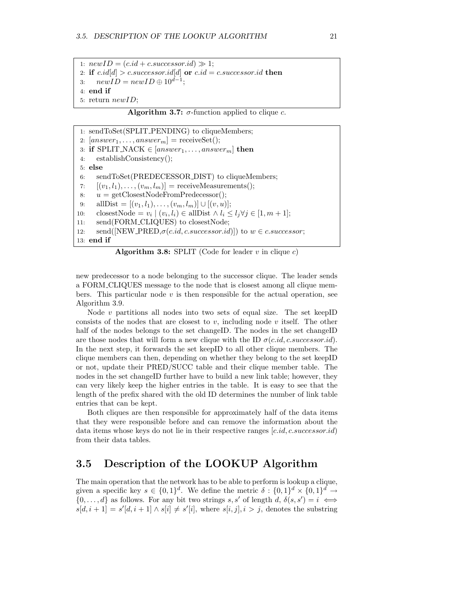1:  $newID = (c.id + c.successor.id) \gg 1;$ 2: if  $c.id[d] > c.successor.id[d]$  or  $c.id = c.successor.id$  then 3:  $newID = newID \oplus 10^{d-1};$ 4: end if 5: return newID;

Algorithm 3.7:  $\sigma$ -function applied to clique c.

1: sendToSet(SPLIT PENDING) to cliqueMembers; 2:  $[answer_1, \ldots, answer_m] = \text{receiveSet}$ ; 3: if SPLIT\_NACK  $\in$  [answer<sub>1</sub>,...,answer<sub>m</sub>] then<br>4: establishConsistency(); establishConsistency(); 5: else 6: sendToSet(PREDECESSOR DIST) to cliqueMembers; 7:  $[(v_1, l_1), \ldots, (v_m, l_m)]$  = receiveMeasurements(); 8:  $u = getCloseNodeFromPredecessor$ <sup>\*</sup>; 9: allDist =  $[(v_1, l_1),..., (v_m, l_m)] \cup [(v, u)];$ <br>10: closestNode =  $v_i | (v_i, l_i) \in \text{allDist} \wedge l_i$ 10: closestNode =  $v_i | (v_i, l_i) \in \text{allDist} \wedge l_i \leq l_j \forall j \in [1, m + 1];$ 11: send(FORM\_CLIQUES) to closestNode; 12: send([NEW\_PRED, $\sigma(c.id, c.successor.id)$ ]) to  $w \in c.successor$ ; 13: end if

Algorithm 3.8: SPLIT (Code for leader  $v$  in clique  $c$ )

new predecessor to a node belonging to the successor clique. The leader sends a FORM CLIQUES message to the node that is closest among all clique members. This particular node  $v$  is then responsible for the actual operation, see Algorithm 3.9.

Node  $v$  partitions all nodes into two sets of equal size. The set keepID consists of the nodes that are closest to v, including node v itself. The other half of the nodes belongs to the set changeID. The nodes in the set changeID are those nodes that will form a new clique with the ID  $\sigma(c.id, c.successor.id)$ . In the next step, it forwards the set keepID to all other clique members. The clique members can then, depending on whether they belong to the set keepID or not, update their PRED/SUCC table and their clique member table. The nodes in the set changeID further have to build a new link table; however, they can very likely keep the higher entries in the table. It is easy to see that the length of the prefix shared with the old ID determines the number of link table entries that can be kept.

Both cliques are then responsible for approximately half of the data items that they were responsible before and can remove the information about the data items whose keys do not lie in their respective ranges  $[c.id, c.successor.id)$ from their data tables.

### 3.5 Description of the LOOKUP Algorithm

The main operation that the network has to be able to perform is lookup a clique, given a specific key  $s \in \{0,1\}^d$ . We define the metric  $\delta : \{0,1\}^d \times \{0,1\}^d \to$  $\{0, \ldots, d\}$  as follows. For any bit two strings s, s' of length d,  $\delta(s, s') = i \iff$  $s[d, i + 1] = s'[d, i + 1] \wedge s[i] \neq s'[i],$  where  $s[i, j], i > j$ , denotes the substring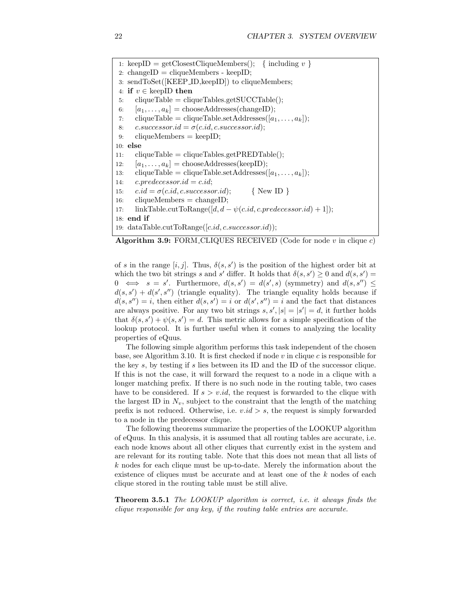1: keepID = getClosestCliqueMembers(); { including  $v$  } 2: changeID = cliqueMembers - keepID; 3: sendToSet([KEEP ID,keepID]) to cliqueMembers; 4: if  $v \in \text{keepID}$  then<br>5: cliqueTable = cliq  $cliqueTable = cliqueTables.getSUCCTable();$ 6:  $[a_1, \ldots, a_k] = \text{chooseAddress}(\text{changeID});$ 7: cliqueTable = cliqueTable.setAddresses( $[a_1, \ldots, a_k]$ ); 8:  $c.successor.id = \sigma(c.id, c.successor.id);$ 9: cliqueMembers = keepID; 10: else 11: cliqueTable = cliqueTables.getPREDTable(); 12:  $[a_1, \ldots, a_k] = \text{chooseAddress}(\text{keepID});$ 13: cliqueTable = cliqueTable.setAddresses([ $a_1, \ldots, a_k$ ]); 14:  $c.\text{predecessor}.id = c.id;$ 15:  $c.id = \sigma(c.id, c.successor.id);$  {New ID }<br>16: cliqueMembers = changeID;  $cliqueMembers = changeID;$ 17: linkTable.cutToRange([d,  $d - \psi(c.id, c.predict.eredecessor.id) + 1$ ]); 18: end if 19: dataTable.cutToRange( $[c.id, c.successor.id)$ );

Algorithm 3.9: FORM CLIQUES RECEIVED (Code for node  $v$  in clique  $c$ )

of s in the range  $[i, j]$ . Thus,  $\delta(s, s')$  is the position of the highest order bit at which the two bit strings s and s' differ. It holds that  $\delta(s, s') \geq 0$  and  $d(s, s') =$  $0 \iff s = s'$ . Furthermore,  $d(s, s') = d(s', s)$  (symmetry) and  $d(s, s'') \leq$  $d(s, s') + d(s', s'')$  (triangle equality). The triangle equality holds because if  $d(s, s'') = i$ , then either  $d(s, s') = i$  or  $d(s', s'') = i$  and the fact that distances are always positive. For any two bit strings  $s, s', |s| = |s'| = d$ , it further holds that  $\delta(s, s') + \psi(s, s') = d$ . This metric allows for a simple specification of the lookup protocol. It is further useful when it comes to analyzing the locality properties of eQuus.

The following simple algorithm performs this task independent of the chosen base, see Algorithm 3.10. It is first checked if node  $v$  in clique  $c$  is responsible for the key s, by testing if s lies between its ID and the ID of the successor clique. If this is not the case, it will forward the request to a node in a clique with a longer matching prefix. If there is no such node in the routing table, two cases have to be considered. If  $s > v.id$ , the request is forwarded to the clique with the largest ID in  $N_v$ , subject to the constraint that the length of the matching prefix is not reduced. Otherwise, i.e.  $v.id > s$ , the request is simply forwarded to a node in the predecessor clique.

The following theorems summarize the properties of the LOOKUP algorithm of eQuus. In this analysis, it is assumed that all routing tables are accurate, i.e. each node knows about all other cliques that currently exist in the system and are relevant for its routing table. Note that this does not mean that all lists of  $k$  nodes for each clique must be up-to-date. Merely the information about the existence of cliques must be accurate and at least one of the k nodes of each clique stored in the routing table must be still alive.

**Theorem 3.5.1** The LOOKUP algorithm is correct, i.e. it always finds the clique responsible for any key, if the routing table entries are accurate.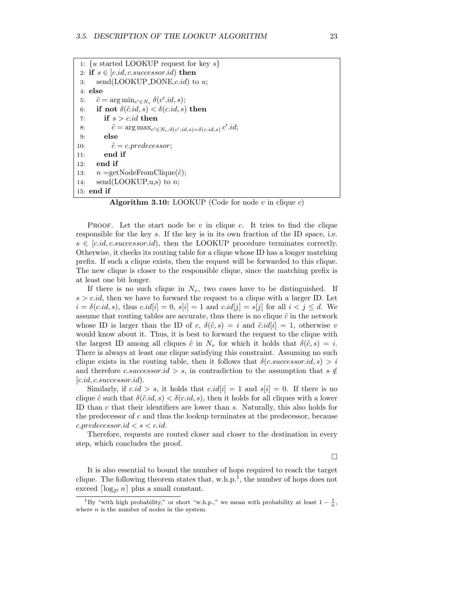```
1: \{u \text{ started LOOKUP request for key } s\}2: if s \in [c.id, c.successor.id) then<br>3: send(LOOKUP_DONE,c.id) to
       send(LOOKUP\_DONE, c.id) to u;
 4: else
 5: \tilde{c} = \arg \min_{c' \in N_v} \delta(c'.id, s);6: if not \delta(\tilde{c}.id, s) < \delta(c.id, s) then
 7: if s > c.id then
 8: \tilde{c} = \arg \max_{c' \in N_v : \delta(c'.id, s) = \delta(c.id, s)} c'.id;9: else
10: \tilde{c} = c.\text{predecessor};11: end if
12: end if
13: n = getNodeFromClique(\tilde{c});14: \text{send}(\text{LOOKUP}, u, s) to n;
15: end if
```
**Algorithm 3.10:** LOOKUP (Code for node v in clique c)

PROOF. Let the start node be  $v$  in clique  $c$ . It tries to find the clique responsible for the key s. If the key is in its own fraction of the ID space, i.e.  $s \in [c.id, c.successor.id)$ , then the LOOKUP procedure terminates correctly. Otherwise, it checks its routing table for a clique whose ID has a longer matching prefix. If such a clique exists, then the request will be forwarded to this clique. The new clique is closer to the responsible clique, since the matching prefix is at least one bit longer.

If there is no such clique in  $N_v$ , two cases have to be distinguished. If  $s > c.id$ , then we have to forward the request to a clique with a larger ID. Let  $i = \delta(c.id, s)$ , thus  $c.id[i] = 0$ ,  $s[i] = 1$  and  $c.id[j] = s[j]$  for all  $i < j \leq d$ . We assume that routing tables are accurate, thus there is no clique  $\tilde{c}$  in the network whose ID is larger than the ID of c,  $\delta(\tilde{c},s) = i$  and  $\tilde{c}.id[i] = 1$ , otherwise v would know about it. Thus, it is best to forward the request to the clique with the largest ID among all cliques  $\tilde{c}$  in  $N_v$  for which it holds that  $\delta(\tilde{c},s) = i$ . There is always at least one clique satisfying this constraint. Assuming no such clique exists in the routing table, then it follows that  $\delta(c.successor.id, s) > i$ and therefore c.successor.id > s, in contradiction to the assumption that  $s \notin$  $[c.id, c.successor.id).$ 

Similarly, if  $c.id > s$ , it holds that  $c.id[i] = 1$  and  $s[i] = 0$ . If there is no clique  $\tilde{c}$  such that  $\delta(\tilde{c}.id, s) < \delta(c.id, s)$ , then it holds for all cliques with a lower ID than c that their identifiers are lower than s. Naturally, this also holds for the predecessor of  $c$  and thus the lookup terminates at the predecessor, because  $c.\text{predecessor}.id < s < c.id.$ 

Therefore, requests are routed closer and closer to the destination in every step, which concludes the proof.

 $\Box$ 

It is also essential to bound the number of hops required to reach the target clique. The following theorem states that,  $w.h.p.^1$ , the number of hops does not exceed  $\lceil \log_{2^b} n \rceil$  plus a small constant.

<sup>&</sup>lt;sup>1</sup>By "with high probability," or short "w.h.p.," we mean with probability at least  $1 - \frac{1}{n}$ , where  $n$  is the number of nodes in the system.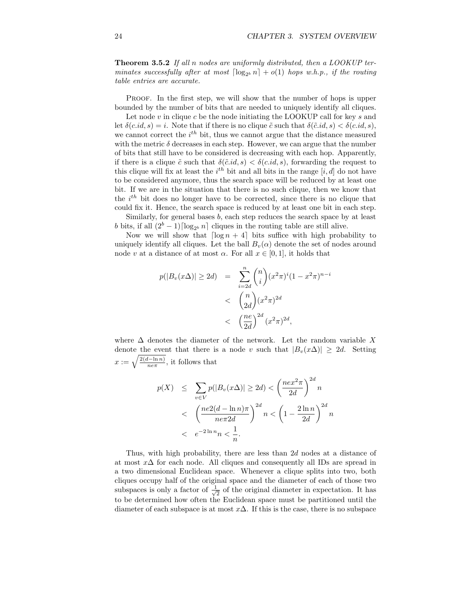Theorem 3.5.2 If all n nodes are uniformly distributed, then a LOOKUP terminates successfully after at most  $\lceil \log_{2^b} n \rceil + o(1)$  hops w.h.p., if the routing table entries are accurate.

Proof. In the first step, we will show that the number of hops is upper bounded by the number of bits that are needed to uniquely identify all cliques.

Let node  $v$  in clique  $c$  be the node initiating the LOOKUP call for key  $s$  and let  $\delta(c.id, s) = i$ . Note that if there is no clique  $\tilde{c}$  such that  $\delta(\tilde{c}.id, s) < \delta(c.id, s)$ , we cannot correct the  $i^{th}$  bit, thus we cannot argue that the distance measured with the metric  $\delta$  decreases in each step. However, we can argue that the number of bits that still have to be considered is decreasing with each hop. Apparently, if there is a clique  $\tilde{c}$  such that  $\delta(\tilde{c}.id, s) < \delta(c.id, s)$ , forwarding the request to this clique will fix at least the  $i<sup>th</sup>$  bit and all bits in the range  $[i, d]$  do not have to be considered anymore, thus the search space will be reduced by at least one bit. If we are in the situation that there is no such clique, then we know that the  $i<sup>th</sup>$  bit does no longer have to be corrected, since there is no clique that could fix it. Hence, the search space is reduced by at least one bit in each step.

Similarly, for general bases b, each step reduces the search space by at least b bits, if all  $(2^b - 1) \lceil \log_{2^b} n \rceil$  cliques in the routing table are still alive.

Now we will show that  $\lceil \log n + 4 \rceil$  bits suffice with high probability to uniquely identify all cliques. Let the ball  $B_v(\alpha)$  denote the set of nodes around node v at a distance of at most  $\alpha$ . For all  $x \in [0,1]$ , it holds that

$$
p(|B_v(x\Delta)| \ge 2d) = \sum_{i=2d}^{n} {n \choose i} (x^2 \pi)^i (1 - x^2 \pi)^{n-i}
$$
  
<  ${n \choose 2d} (x^2 \pi)^{2d}$   
<  ${n e \choose 2d} (x^2 \pi)^{2d},$ 

where  $\Delta$  denotes the diameter of the network. Let the random variable X denote the event that there is a node v such that  $|B_v(x\Delta)| \geq 2d$ . Setting  $x := \sqrt{\frac{2(d-\ln n)}{n e \pi}}$ , it follows that

$$
p(X) \leq \sum_{v \in V} p(|B_v(x\Delta)| \geq 2d) < \left(\frac{ne^{2\pi}}{2d}\right)^{2d} n
$$
  

$$
< \left(\frac{ne^{2(d-1)}n}{ne\pi 2d}\right)^{2d} n < \left(1 - \frac{2\ln n}{2d}\right)^{2d} n
$$
  

$$
< e^{-2\ln n} n < \frac{1}{n}.
$$

Thus, with high probability, there are less than 2d nodes at a distance of at most x∆ for each node. All cliques and consequently all IDs are spread in a two dimensional Euclidean space. Whenever a clique splits into two, both cliques occupy half of the original space and the diameter of each of those two subspaces is only a factor of  $\frac{1}{\sqrt{2}}$  $\frac{1}{2}$  of the original diameter in expectation. It has to be determined how often the Euclidean space must be partitioned until the diameter of each subspace is at most  $x\Delta$ . If this is the case, there is no subspace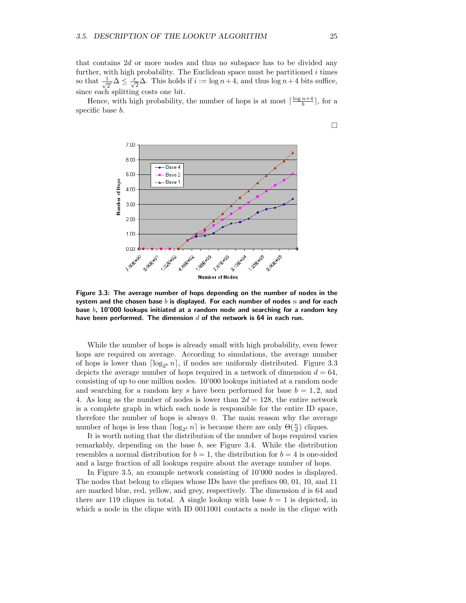that contains  $2d$  or more nodes and thus no subspace has to be divided any further, with high probability. The Euclidean space must be partitioned  $i$  times so that  $\frac{1}{\sqrt{2}^i} \Delta \leq \frac{x}{\sqrt{2}} \Delta$ . This holds if  $i := \log n + 4$ , and thus  $\log n + 4$  bits suffice, since each splitting costs one bit.

Hence, with high probability, the number of hops is at most  $\lceil \frac{\log n+4}{b} \rceil$ , for a specific base b.



Figure 3.3: The average number of hops depending on the number of nodes in the system and the chosen base b is displayed. For each number of nodes  $n$  and for each base  $b$ , 10'000 lookups initiated at a random node and searching for a random key have been performed. The dimension  $d$  of the network is 64 in each run.

While the number of hops is already small with high probability, even fewer hops are required on average. According to simulations, the average number of hops is lower than  $\lceil \log_{2^b} n \rceil$ , if nodes are uniformly distributed. Figure 3.3 depicts the average number of hops required in a network of dimension  $d = 64$ , consisting of up to one million nodes. 10'000 lookups initiated at a random node and searching for a random key s have been performed for base  $b = 1, 2$ , and 4. As long as the number of nodes is lower than  $2d = 128$ , the entire network is a complete graph in which each node is responsible for the entire ID space, therefore the number of hops is always 0. The main reason why the average number of hops is less than  $\lceil \log_{2^b} n \rceil$  is because there are only  $\Theta(\frac{n}{d})$  cliques.

It is worth noting that the distribution of the number of hops required varies remarkably, depending on the base b, see Figure 3.4. While the distribution resembles a normal distribution for  $b = 1$ , the distribution for  $b = 4$  is one-sided and a large fraction of all lookups require about the average number of hops.

In Figure 3.5, an example network consisting of 10'000 nodes is displayed. The nodes that belong to cliques whose IDs have the prefixes 00, 01, 10, and 11 are marked blue, red, yellow, and grey, respectively. The dimension d is 64 and there are 119 cliques in total. A single lookup with base  $b = 1$  is depicted, in which a node in the clique with ID 0011001 contacts a node in the clique with

 $\Box$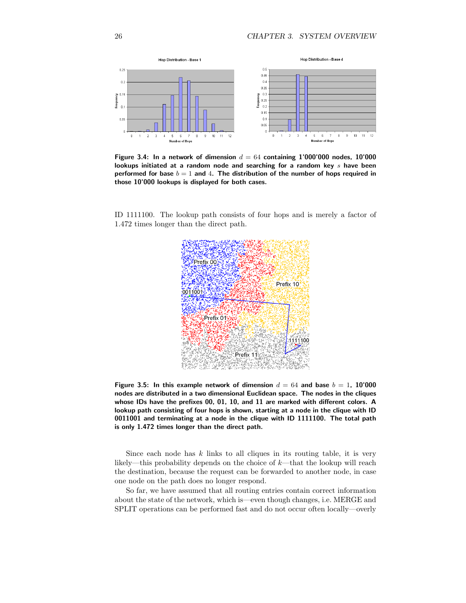

Figure 3.4: In a network of dimension  $d = 64$  containing 1'000'000 nodes, 10'000 lookups initiated at a random node and searching for a random key  $s$  have been performed for base  $b = 1$  and 4. The distribution of the number of hops required in those 10'000 lookups is displayed for both cases.

ID 1111100. The lookup path consists of four hops and is merely a factor of 1.472 times longer than the direct path.



Figure 3.5: In this example network of dimension  $d = 64$  and base  $b = 1$ , 10'000 nodes are distributed in a two dimensional Euclidean space. The nodes in the cliques whose IDs have the prefixes 00, 01, 10, and 11 are marked with different colors. A lookup path consisting of four hops is shown, starting at a node in the clique with ID 0011001 and terminating at a node in the clique with ID 1111100. The total path is only 1.472 times longer than the direct path.

Since each node has  $k$  links to all cliques in its routing table, it is very likely—this probability depends on the choice of  $k$ —that the lookup will reach the destination, because the request can be forwarded to another node, in case one node on the path does no longer respond.

So far, we have assumed that all routing entries contain correct information about the state of the network, which is—even though changes, i.e. MERGE and SPLIT operations can be performed fast and do not occur often locally—overly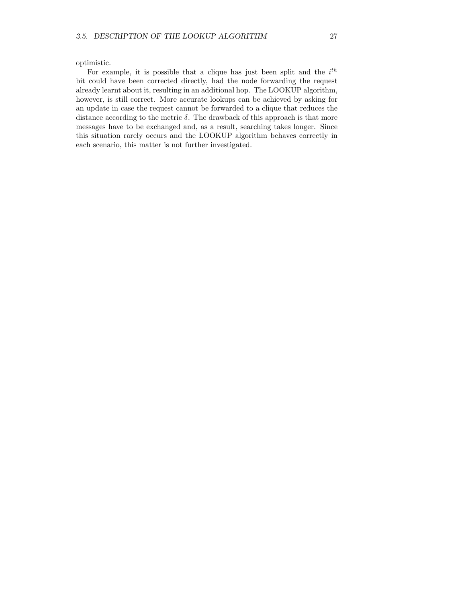optimistic.

For example, it is possible that a clique has just been split and the  $i^{th}$ bit could have been corrected directly, had the node forwarding the request already learnt about it, resulting in an additional hop. The LOOKUP algorithm, however, is still correct. More accurate lookups can be achieved by asking for an update in case the request cannot be forwarded to a clique that reduces the distance according to the metric  $\delta$ . The drawback of this approach is that more messages have to be exchanged and, as a result, searching takes longer. Since this situation rarely occurs and the LOOKUP algorithm behaves correctly in each scenario, this matter is not further investigated.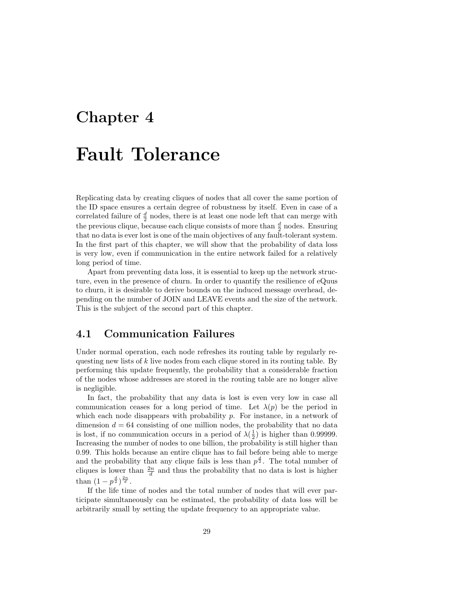### Chapter 4

# Fault Tolerance

Replicating data by creating cliques of nodes that all cover the same portion of the ID space ensures a certain degree of robustness by itself. Even in case of a correlated failure of  $\frac{d}{2}$  nodes, there is at least one node left that can merge with the previous clique, because each clique consists of more than  $\frac{d}{2}$  nodes. Ensuring that no data is ever lost is one of the main objectives of any fault-tolerant system. In the first part of this chapter, we will show that the probability of data loss is very low, even if communication in the entire network failed for a relatively long period of time.

Apart from preventing data loss, it is essential to keep up the network structure, even in the presence of churn. In order to quantify the resilience of eQuus to churn, it is desirable to derive bounds on the induced message overhead, depending on the number of JOIN and LEAVE events and the size of the network. This is the subject of the second part of this chapter.

### 4.1 Communication Failures

Under normal operation, each node refreshes its routing table by regularly requesting new lists of  $k$  live nodes from each clique stored in its routing table. By performing this update frequently, the probability that a considerable fraction of the nodes whose addresses are stored in the routing table are no longer alive is negligible.

In fact, the probability that any data is lost is even very low in case all communication ceases for a long period of time. Let  $\lambda(p)$  be the period in which each node disappears with probability  $p$ . For instance, in a network of dimension  $d = 64$  consisting of one million nodes, the probability that no data is lost, if no communication occurs in a period of  $\lambda(\frac{1}{2})$  is higher than 0.99999. Increasing the number of nodes to one billion, the probability is still higher than 0.99. This holds because an entire clique has to fail before being able to merge and the probability that any clique fails is less than  $p^{\frac{d}{2}}$ . The total number of cliques is lower than  $\frac{2n}{d}$  and thus the probability that no data is lost is higher than  $(1-p^{\frac{d}{2}})^{\frac{2n}{d}}$ .

If the life time of nodes and the total number of nodes that will ever participate simultaneously can be estimated, the probability of data loss will be arbitrarily small by setting the update frequency to an appropriate value.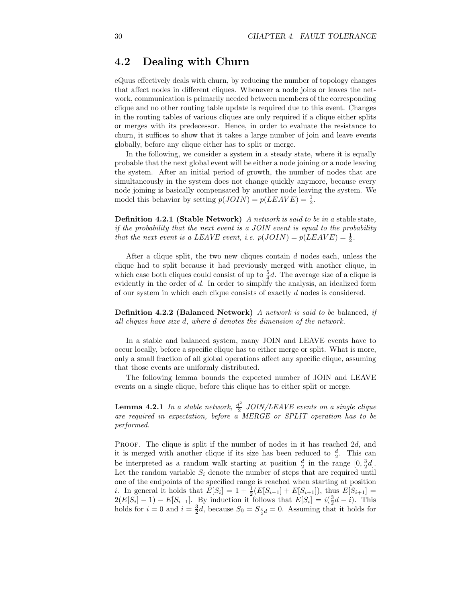### 4.2 Dealing with Churn

eQuus effectively deals with churn, by reducing the number of topology changes that affect nodes in different cliques. Whenever a node joins or leaves the network, communication is primarily needed between members of the corresponding clique and no other routing table update is required due to this event. Changes in the routing tables of various cliques are only required if a clique either splits or merges with its predecessor. Hence, in order to evaluate the resistance to churn, it suffices to show that it takes a large number of join and leave events globally, before any clique either has to split or merge.

In the following, we consider a system in a steady state, where it is equally probable that the next global event will be either a node joining or a node leaving the system. After an initial period of growth, the number of nodes that are simultaneously in the system does not change quickly anymore, because every node joining is basically compensated by another node leaving the system. We model this behavior by setting  $p(JOIN) = p(LEAVE) = \frac{1}{2}$ .

Definition 4.2.1 (Stable Network) A network is said to be in a stable state, if the probability that the next event is a JOIN event is equal to the probability that the next event is a LEAVE event, i.e.  $p(JOIN) = p(LEAVE) = \frac{1}{2}$ .

After a clique split, the two new cliques contain d nodes each, unless the clique had to split because it had previously merged with another clique, in which case both cliques could consist of up to  $\frac{5}{4}d$ . The average size of a clique is evidently in the order of d. In order to simplify the analysis, an idealized form of our system in which each clique consists of exactly d nodes is considered.

Definition 4.2.2 (Balanced Network) A network is said to be balanced, if all cliques have size d, where d denotes the dimension of the network.

In a stable and balanced system, many JOIN and LEAVE events have to occur locally, before a specific clique has to either merge or split. What is more, only a small fraction of all global operations affect any specific clique, assuming that those events are uniformly distributed.

The following lemma bounds the expected number of JOIN and LEAVE events on a single clique, before this clique has to either split or merge.

**Lemma 4.2.1** In a stable network,  $\frac{d^2}{2}$  $\frac{d^2}{2}$  JOIN/LEAVE events on a single clique are required in expectation, before a MERGE or SPLIT operation has to be performed.

PROOF. The clique is split if the number of nodes in it has reached 2d, and it is merged with another clique if its size has been reduced to  $\frac{d}{2}$ . This can be interpreted as a random walk starting at position  $\frac{d}{2}$  in the range  $[0, \frac{3}{2}d]$ . Let the random variable  $S_i$  denote the number of steps that are required until one of the endpoints of the specified range is reached when starting at position *i*. In general it holds that  $E[S_i] = 1 + \frac{1}{2}(E[S_{i-1}] + E[S_{i+1}])$ , thus  $E[S_{i+1}] =$  $2(E[S_i] - 1) - E[S_{i-1}]$ . By induction it follows that  $E[S_i] = i(\frac{3}{2}d - i)$ . This holds for  $i = 0$  and  $i = \frac{3}{2}d$ , because  $S_0 = S_{\frac{3}{2}d} = 0$ . Assuming that it holds for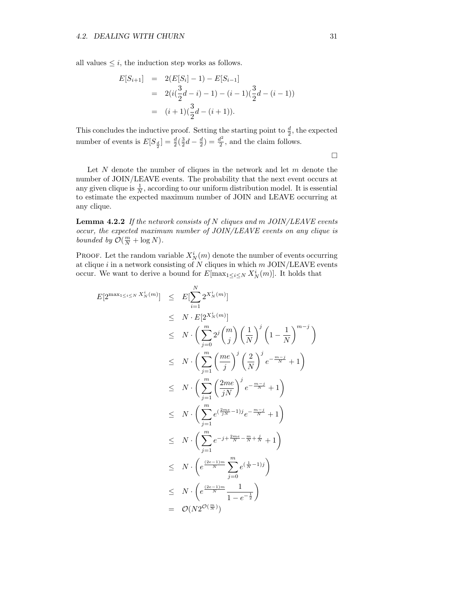all values  $\leq i$ , the induction step works as follows.

$$
E[S_{i+1}] = 2(E[S_i] - 1) - E[S_{i-1}]
$$
  
=  $2(i(\frac{3}{2}d - i) - 1) - (i - 1)(\frac{3}{2}d - (i - 1))$   
=  $(i + 1)(\frac{3}{2}d - (i + 1)).$ 

This concludes the inductive proof. Setting the starting point to  $\frac{d}{2}$ , the expected number of events is  $E[S_{\frac{d}{2}}] = \frac{d}{2}(\frac{3}{2}d - \frac{d}{2}) = \frac{d^2}{2}$  $\frac{d^2}{2}$ , and the claim follows.

 $\Box$ 

Let  $N$  denote the number of cliques in the network and let  $m$  denote the number of JOIN/LEAVE events. The probability that the next event occurs at any given clique is  $\frac{1}{N}$ , according to our uniform distribution model. It is essential to estimate the expected maximum number of JOIN and LEAVE occurring at any clique.

**Lemma 4.2.2** If the network consists of N cliques and m  $JOIN/LEAVE$  events occur, the expected maximum number of JOIN/LEAVE events on any clique is bounded by  $\mathcal{O}(\frac{m}{N} + \log N)$ .

**PROOF.** Let the random variable  $X_N^i(m)$  denote the number of events occurring at clique $i$  in a network consisting of  $N$  cliques in which  $m$  JOIN/LEAVE events occur. We want to derive a bound for  $E[\max_{1 \leq i \leq N} X_N^i(m)]$ . It holds that

$$
E[2^{\max_{1\leq i\leq N} X_N^i(m)}] \leq E[\sum_{i=1}^N 2^{X_N^i(m)}]
$$
  
\n
$$
\leq N \cdot \left(\sum_{j=0}^m 2^j {m \choose j} \left(\frac{1}{N}\right)^j \left(1 - \frac{1}{N}\right)^{m-j}\right)
$$
  
\n
$$
\leq N \cdot \left(\sum_{j=1}^m \left(\frac{me}{j}\right)^j \left(\frac{2}{N}\right)^j e^{-\frac{m-j}{N}} + 1\right)
$$
  
\n
$$
\leq N \cdot \left(\sum_{j=1}^m \left(\frac{2me}{jN}\right)^j e^{-\frac{m-j}{N}} + 1\right)
$$
  
\n
$$
\leq N \cdot \left(\sum_{j=1}^m e^{(\frac{2me}{jN} - 1)j} e^{-\frac{m-j}{N}} + 1\right)
$$
  
\n
$$
\leq N \cdot \left(\sum_{j=1}^m e^{-j + \frac{2me}{N} - \frac{m}{N} + \frac{j}{N}} + 1\right)
$$
  
\n
$$
\leq N \cdot \left(e^{\frac{(2e-1)m}{N}} \sum_{j=0}^m e^{(\frac{1}{N}-1)j}\right)
$$
  
\n
$$
\leq N \cdot \left(e^{\frac{(2e-1)m}{N}} \frac{1}{1 - e^{-\frac{1}{2}}}\right)
$$
  
\n
$$
= \mathcal{O}(N 2^{\mathcal{O}(\frac{m}{N}}))
$$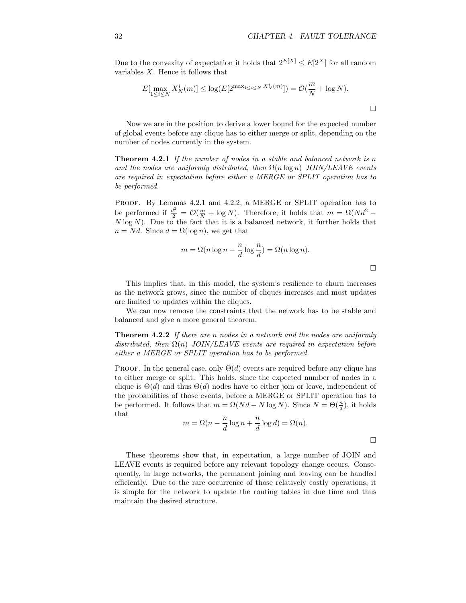$\Box$ 

Due to the convexity of expectation it holds that  $2^{E[X]} \leq E[2^X]$  for all random variables  $X$ . Hence it follows that

$$
E[\max_{1 \le i \le N} X_N^i(m)] \le \log(E[2^{\max_{1 \le i \le N} X_N^i(m)}]) = \mathcal{O}(\frac{m}{N} + \log N).
$$

Now we are in the position to derive a lower bound for the expected number of global events before any clique has to either merge or split, depending on the number of nodes currently in the system.

**Theorem 4.2.1** If the number of nodes in a stable and balanced network is n and the nodes are uniformly distributed, then  $\Omega(n \log n)$  JOIN/LEAVE events are required in expectation before either a MERGE or SPLIT operation has to be performed.

Proof. By Lemmas 4.2.1 and 4.2.2, a MERGE or SPLIT operation has to be performed if  $\frac{d^2}{2} = \mathcal{O}(\frac{m}{N} + \log N)$ . Therefore, it holds that  $m = \Omega(Nd^2 N \log N$ ). Due to the fact that it is a balanced network, it further holds that  $n = Nd$ . Since  $d = \Omega(\log n)$ , we get that

$$
m = \Omega(n \log n - \frac{n}{d} \log \frac{n}{d}) = \Omega(n \log n).
$$

This implies that, in this model, the system's resilience to churn increases as the network grows, since the number of cliques increases and most updates are limited to updates within the cliques.

We can now remove the constraints that the network has to be stable and balanced and give a more general theorem.

**Theorem 4.2.2** If there are n nodes in a network and the nodes are uniformly distributed, then  $\Omega(n)$  JOIN/LEAVE events are required in expectation before either a MERGE or SPLIT operation has to be performed.

PROOF. In the general case, only  $\Theta(d)$  events are required before any clique has to either merge or split. This holds, since the expected number of nodes in a clique is  $\Theta(d)$  and thus  $\Theta(d)$  nodes have to either join or leave, independent of the probabilities of those events, before a MERGE or SPLIT operation has to be performed. It follows that  $m = \Omega(Nd - N \log N)$ . Since  $N = \Theta(\frac{n}{d})$ , it holds that

$$
m = \Omega\left(n - \frac{n}{d}\log n + \frac{n}{d}\log d\right) = \Omega(n).
$$

These theorems show that, in expectation, a large number of JOIN and LEAVE events is required before any relevant topology change occurs. Consequently, in large networks, the permanent joining and leaving can be handled efficiently. Due to the rare occurrence of those relatively costly operations, it is simple for the network to update the routing tables in due time and thus maintain the desired structure.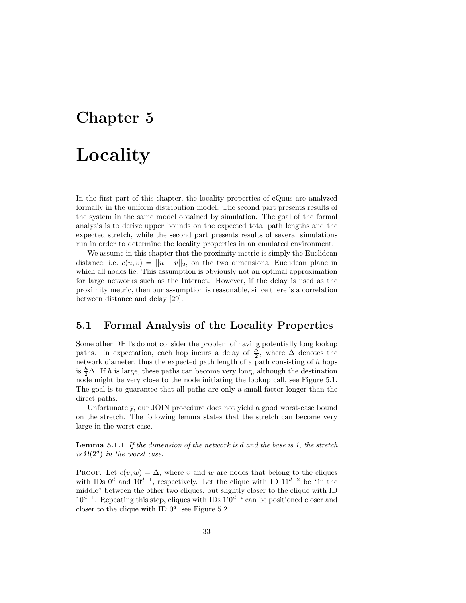### Chapter 5

# Locality

In the first part of this chapter, the locality properties of eQuus are analyzed formally in the uniform distribution model. The second part presents results of the system in the same model obtained by simulation. The goal of the formal analysis is to derive upper bounds on the expected total path lengths and the expected stretch, while the second part presents results of several simulations run in order to determine the locality properties in an emulated environment.

We assume in this chapter that the proximity metric is simply the Euclidean distance, i.e.  $c(u, v) = ||u - v||_2$ , on the two dimensional Euclidean plane in which all nodes lie. This assumption is obviously not an optimal approximation for large networks such as the Internet. However, if the delay is used as the proximity metric, then our assumption is reasonable, since there is a correlation between distance and delay [29].

#### 5.1 Formal Analysis of the Locality Properties

Some other DHTs do not consider the problem of having potentially long lookup paths. In expectation, each hop incurs a delay of  $\frac{\Delta}{2}$ , where  $\Delta$  denotes the network diameter, thus the expected path length of a path consisting of  $h$  hops is  $\frac{h}{2}\Delta$ . If h is large, these paths can become very long, although the destination node might be very close to the node initiating the lookup call, see Figure 5.1. The goal is to guarantee that all paths are only a small factor longer than the direct paths.

Unfortunately, our JOIN procedure does not yield a good worst-case bound on the stretch. The following lemma states that the stretch can become very large in the worst case.

**Lemma 5.1.1** If the dimension of the network is  $d$  and the base is 1, the stretch is  $\Omega(2^d)$  in the worst case.

PROOF. Let  $c(v, w) = \Delta$ , where v and w are nodes that belong to the cliques with IDs  $0^d$  and  $10^{d-1}$ , respectively. Let the clique with ID  $11^{d-2}$  be "in the middle" between the other two cliques, but slightly closer to the clique with ID  $10^{d-1}$ . Repeating this step, cliques with IDs  $1^i0^{d-i}$  can be positioned closer and closer to the clique with ID  $0^d$ , see Figure 5.2.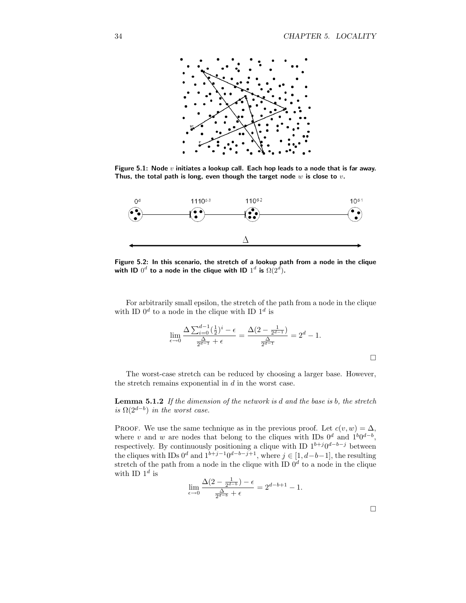

Figure 5.1: Node  $v$  initiates a lookup call. Each hop leads to a node that is far away. Thus, the total path is long, even though the target node  $w$  is close to  $v$ .



Figure 5.2: In this scenario, the stretch of a lookup path from a node in the clique with ID  $0^d$  to a node in the clique with ID  $1^d$  is  $\Omega(2^{\dot{d}}).$ 

For arbitrarily small epsilon, the stretch of the path from a node in the clique with ID  $0^d$  to a node in the clique with ID  $1^d$  is

$$
\lim_{\epsilon \to 0} \frac{\Delta \sum_{i=0}^{d-1} (\frac{1}{2})^i - \epsilon}{\frac{\Delta}{2^{d-1}} + \epsilon} = \frac{\Delta(2 - \frac{1}{2^{d-1}})}{\frac{\Delta}{2^{d-1}}} = 2^d - 1.
$$

The worst-case stretch can be reduced by choosing a larger base. However, the stretch remains exponential in  $d$  in the worst case.

**Lemma 5.1.2** If the dimension of the network is  $d$  and the base is  $b$ , the stretch is  $\Omega(2^{d-b})$  in the worst case.

PROOF. We use the same technique as in the previous proof. Let  $c(v, w) = \Delta$ , where v and w are nodes that belong to the cliques with IDs  $0^d$  and  $1^b0^{d-b}$ , respectively. By continuously positioning a clique with ID  $1^{b+j}0^{d-b-j}$  between the cliques with IDs  $0^d$  and  $1^{b+j-1}0^{d-b-j+1}$ , where  $j \in [1, d-b-1]$ , the resulting stretch of the path from a node in the clique with ID  $0<sup>d</sup>$  to a node in the clique with ID  $1^d$  is

$$
\lim_{\epsilon \to 0} \frac{\Delta(2 - \frac{1}{2^{d-b}}) - \epsilon}{\frac{\Delta}{2^{d-b}} + \epsilon} = 2^{d-b+1} - 1.
$$

 $\Box$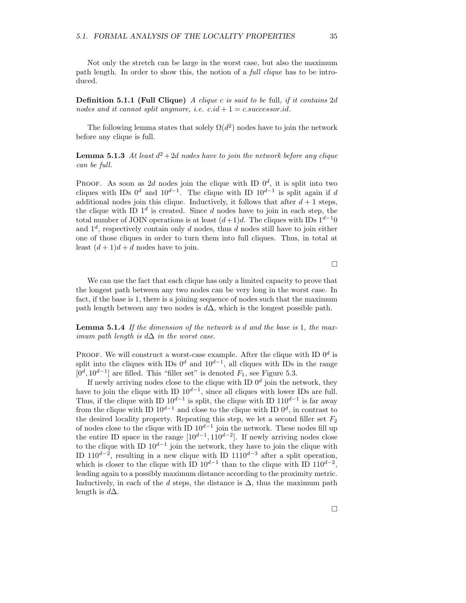Not only the stretch can be large in the worst case, but also the maximum path length. In order to show this, the notion of a full clique has to be introduced.

**Definition 5.1.1 (Full Clique)** A clique c is said to be full, if it contains  $2d$ nodes and it cannot split anymore, i.e.  $c.id + 1 = c.successor.id$ .

The following lemma states that solely  $\Omega(d^2)$  nodes have to join the network before any clique is full.

**Lemma 5.1.3** At least  $d^2+2d$  nodes have to join the network before any clique can be full.

PROOF. As soon as 2d nodes join the clique with ID  $0^d$ , it is split into two cliques with IDs  $0^d$  and  $10^{d-1}$ . The clique with ID  $10^{d-1}$  is split again if d additional nodes join this clique. Inductively, it follows that after  $d+1$  steps, the clique with ID  $1^d$  is created. Since d nodes have to join in each step, the total number of JOIN operations is at least  $(d+1)d$ . The cliques with IDs  $1^{d-1}0$ and  $1^d$ , respectively contain only d nodes, thus d nodes still have to join either one of those cliques in order to turn them into full cliques. Thus, in total at least  $(d+1)d + d$  nodes have to join.

 $\Box$ 

We can use the fact that each clique has only a limited capacity to prove that the longest path between any two nodes can be very long in the worst case. In fact, if the base is 1, there is a joining sequence of nodes such that the maximum path length between any two nodes is  $d\Delta$ , which is the longest possible path.

Lemma 5.1.4 If the dimension of the network is d and the base is 1, the maximum path length is  $d\Delta$  in the worst case.

PROOF. We will construct a worst-case example. After the clique with ID  $0^d$  is split into the cliques with IDs  $0^d$  and  $10^{d-1}$ , all cliques with IDs in the range  $[0^d, 10^{d-1}]$  are filled. This "filler set" is denoted  $F_1$ , see Figure 5.3.

If newly arriving nodes close to the clique with ID  $0^d$  join the network, they have to join the clique with ID  $10^{d-1}$ , since all cliques with lower IDs are full. Thus, if the clique with ID  $10^{d-1}$  is split, the clique with ID  $110^{d-1}$  is far away from the clique with ID  $10^{d-1}$  and close to the clique with ID  $0^d$ , in contrast to the desired locality property. Repeating this step, we let a second filler set  $F_2$ of nodes close to the clique with ID  $10^{d-1}$  join the network. These nodes fill up the entire ID space in the range  $[10^{d-1}, 110^{d-2}]$ . If newly arriving nodes close to the clique with ID  $10^{d-1}$  join the network, they have to join the clique with ID 110<sup>d-2</sup>, resulting in a new clique with ID 1110<sup>d-3</sup> after a split operation, which is closer to the clique with ID  $10^{d-1}$  than to the clique with ID  $110^{d-2}$ , leading again to a possibly maximum distance according to the proximity metric. Inductively, in each of the d steps, the distance is  $\Delta$ , thus the maximum path length is  $d\Delta$ .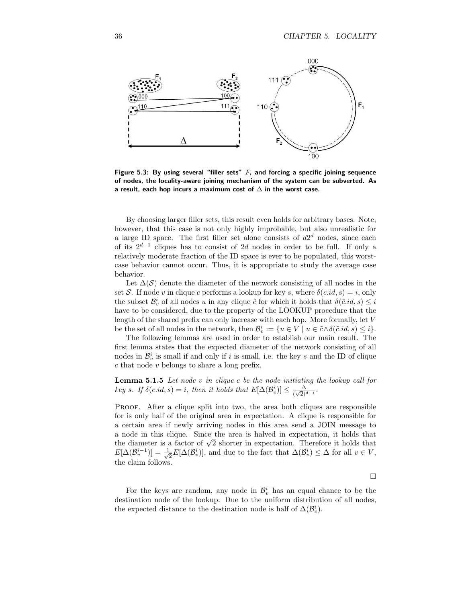

Figure 5.3: By using several "filler sets"  $F_i$  and forcing a specific joining sequence of nodes, the locality-aware joining mechanism of the system can be subverted. As a result, each hop incurs a maximum cost of  $\Delta$  in the worst case.

By choosing larger filler sets, this result even holds for arbitrary bases. Note, however, that this case is not only highly improbable, but also unrealistic for a large ID space. The first filler set alone consists of  $d2<sup>d</sup>$  nodes, since each of its  $2^{d-1}$  cliques has to consist of 2d nodes in order to be full. If only a relatively moderate fraction of the ID space is ever to be populated, this worstcase behavior cannot occur. Thus, it is appropriate to study the average case behavior.

Let  $\Delta(S)$  denote the diameter of the network consisting of all nodes in the set S. If node v in clique c performs a lookup for key s, where  $\delta(c.id, s) = i$ , only the subset  $\mathcal{B}_v^i$  of all nodes u in any clique  $\tilde{c}$  for which it holds that  $\delta(\tilde{c}.id, s) \leq i$ have to be considered, due to the property of the LOOKUP procedure that the length of the shared prefix can only increase with each hop. More formally, let V be the set of all nodes in the network, then  $\mathcal{B}_v^i := \{u \in V \mid u \in \tilde{c} \wedge \delta(\tilde{c}.id, s) \leq i\}.$ 

The following lemmas are used in order to establish our main result. The first lemma states that the expected diameter of the network consisting of all nodes in  $\mathcal{B}_v^i$  is small if and only if i is small, i.e. the key s and the ID of clique c that node v belongs to share a long prefix.

**Lemma 5.1.5** Let node  $v$  in clique  $c$  be the node initiating the lookup call for key s. If  $\delta(c.id, s) = i$ , then it holds that  $E[\Delta(\mathcal{B}_v^i)] \leq \frac{\Delta}{(\sqrt{2})}$  $\frac{\Delta}{(\sqrt{2})^{d-i}}$ .

Proof. After a clique split into two, the area both cliques are responsible for is only half of the original area in expectation. A clique is responsible for a certain area if newly arriving nodes in this area send a JOIN message to a node in this clique. Since the area is halved in expectation, it holds that the diameter is a factor of  $\sqrt{2}$  shorter in expectation. Therefore it holds that  $E[\Delta(\mathcal{B}_v^{i-1})] = \frac{1}{\sqrt{2}}$  $\frac{1}{2}E[\Delta(\mathcal{B}_v^i)]$ , and due to the fact that  $\Delta(\mathcal{B}_v^i) \leq \Delta$  for all  $v \in V$ , the claim follows.

 $\Box$ 

For the keys are random, any node in  $\mathcal{B}_v^i$  has an equal chance to be the destination node of the lookup. Due to the uniform distribution of all nodes, the expected distance to the destination node is half of  $\Delta(\mathcal{B}_v^i)$ .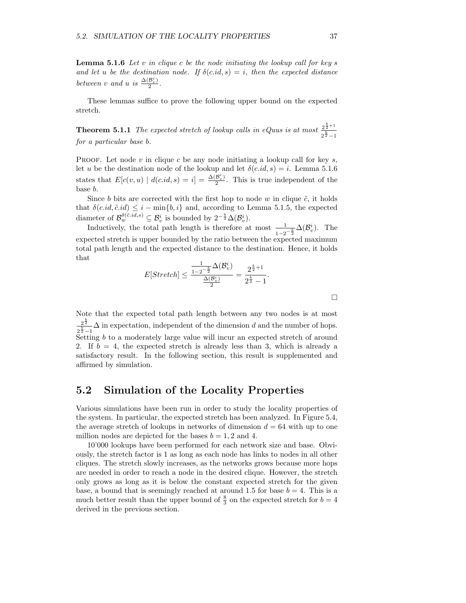**Lemma 5.1.6** Let  $v$  in clique  $c$  be the node initiating the lookup call for key  $s$ and let u be the destination node. If  $\delta(c.id, s) = i$ , then the expected distance between v and u is  $\frac{\Delta(\mathcal{B}_v^i)}{2}$  $rac{\mathcal{D}_v}{2}$ .

These lemmas suffice to prove the following upper bound on the expected stretch.

**Theorem 5.1.1** The expected stretch of lookup calls in eQuus is at most  $\frac{2^{\frac{b}{2}+1}}{b}$  $2^{\frac{b}{2}}-1$ for a particular base b.

PROOF. Let node v in clique c be any node initiating a lookup call for key s, let u be the destination node of the lookup and let  $\delta(c.id, s) = i$ . Lemma 5.1.6 states that  $E[c(v, u) | d(c.id, s) = i] = \frac{\Delta(B_v^i)}{2}$  $\frac{B_v j}{2}$ . This is true independent of the base b.

Since b bits are corrected with the first hop to node w in clique  $\tilde{c}$ , it holds that  $\delta(c.id, \tilde{c}.id) \leq i - \min\{b, i\}$  and, according to Lemma 5.1.5, the expected diameter of  $\mathcal{B}_w^{\delta(\tilde{c},id,s)} \subseteq \mathcal{B}_v^i$  is bounded by  $2^{-\frac{b}{2}}\Delta(\mathcal{B}_v^i)$ .

Inductively, the total path length is therefore at most  $\frac{1}{1}$  $\frac{1}{1-2^{-\frac{b}{2}}}\Delta(\mathcal{B}_v^i)$ . The expected stretch is upper bounded by the ratio between the expected maximum total path length and the expected distance to the destination. Hence, it holds that

$$
E[Stretch] \le \frac{\frac{1}{1-2^{-\frac{b}{2}}}\Delta(\mathcal{B}_v^i)}{\frac{\Delta(\mathcal{B}_v^i)}{2}} = \frac{2^{\frac{b}{2}+1}}{2^{\frac{b}{2}}-1}.
$$

Note that the expected total path length between any two nodes is at most  $2^{\frac{b}{2}}$  $\frac{2^2}{2^2-1}\Delta$  in expectation, independent of the dimension d and the number of hops.  $2^{\frac{2}{2}-1}$ <br>Setting b to a moderately large value will incur an expected stretch of around 2. If  $b = 4$ , the expected stretch is already less than 3, which is already a satisfactory result. In the following section, this result is supplemented and affirmed by simulation.

### 5.2 Simulation of the Locality Properties

Various simulations have been run in order to study the locality properties of the system. In particular, the expected stretch has been analyzed. In Figure 5.4, the average stretch of lookups in networks of dimension  $d = 64$  with up to one million nodes are depicted for the bases  $b = 1, 2$  and 4.

10'000 lookups have been performed for each network size and base. Obviously, the stretch factor is 1 as long as each node has links to nodes in all other cliques. The stretch slowly increases, as the networks grows because more hops are needed in order to reach a node in the desired clique. However, the stretch only grows as long as it is below the constant expected stretch for the given base, a bound that is seemingly reached at around 1.5 for base  $b = 4$ . This is a much better result than the upper bound of  $\frac{8}{3}$  on the expected stretch for  $b = 4$ derived in the previous section.

 $\Box$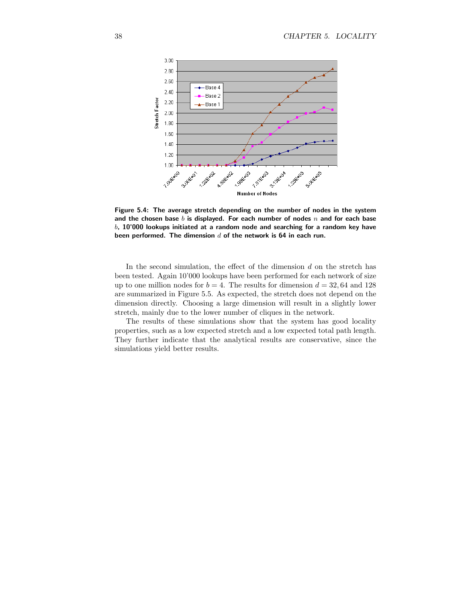

Figure 5.4: The average stretch depending on the number of nodes in the system and the chosen base b is displayed. For each number of nodes  $n$  and for each base  $b$ , 10'000 lookups initiated at a random node and searching for a random key have been performed. The dimension  $d$  of the network is 64 in each run.

In the second simulation, the effect of the dimension  $d$  on the stretch has been tested. Again 10'000 lookups have been performed for each network of size up to one million nodes for  $b = 4$ . The results for dimension  $d = 32,64$  and 128 are summarized in Figure 5.5. As expected, the stretch does not depend on the dimension directly. Choosing a large dimension will result in a slightly lower stretch, mainly due to the lower number of cliques in the network.

The results of these simulations show that the system has good locality properties, such as a low expected stretch and a low expected total path length. They further indicate that the analytical results are conservative, since the simulations yield better results.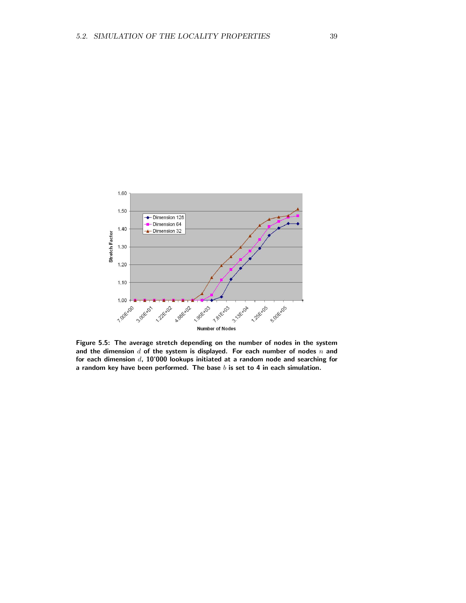

Figure 5.5: The average stretch depending on the number of nodes in the system and the dimension  $d$  of the system is displayed. For each number of nodes  $n$  and for each dimension  $d$ , 10'000 lookups initiated at a random node and searching for a random key have been performed. The base  $b$  is set to 4 in each simulation.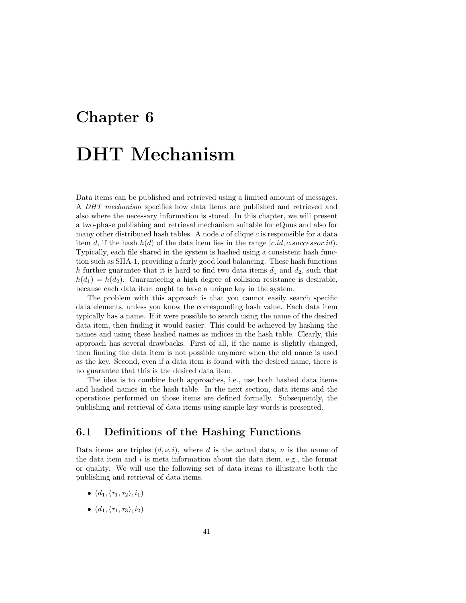### Chapter 6

### DHT Mechanism

Data items can be published and retrieved using a limited amount of messages. A DHT mechanism specifies how data items are published and retrieved and also where the necessary information is stored. In this chapter, we will present a two-phase publishing and retrieval mechanism suitable for eQuus and also for many other distributed hash tables. A node  $v$  of clique  $c$  is responsible for a data item d, if the hash  $h(d)$  of the data item lies in the range [c.id, c.successor.id]. Typically, each file shared in the system is hashed using a consistent hash function such as SHA-1, providing a fairly good load balancing. These hash functions h further guarantee that it is hard to find two data items  $d_1$  and  $d_2$ , such that  $h(d_1) = h(d_2)$ . Guaranteeing a high degree of collision resistance is desirable, because each data item ought to have a unique key in the system.

The problem with this approach is that you cannot easily search specific data elements, unless you know the corresponding hash value. Each data item typically has a name. If it were possible to search using the name of the desired data item, then finding it would easier. This could be achieved by hashing the names and using these hashed names as indices in the hash table. Clearly, this approach has several drawbacks. First of all, if the name is slightly changed, then finding the data item is not possible anymore when the old name is used as the key. Second, even if a data item is found with the desired name, there is no guarantee that this is the desired data item.

The idea is to combine both approaches, i.e., use both hashed data items and hashed names in the hash table. In the next section, data items and the operations performed on those items are defined formally. Subsequently, the publishing and retrieval of data items using simple key words is presented.

#### 6.1 Definitions of the Hashing Functions

Data items are triples  $(d, \nu, i)$ , where d is the actual data,  $\nu$  is the name of the data item and  $i$  is meta information about the data item, e.g., the format or quality. We will use the following set of data items to illustrate both the publishing and retrieval of data items.

- $(d_1,\langle \tau_1,\tau_2\rangle,i_1)$
- $(d_1,\langle \tau_1,\tau_3\rangle,i_2)$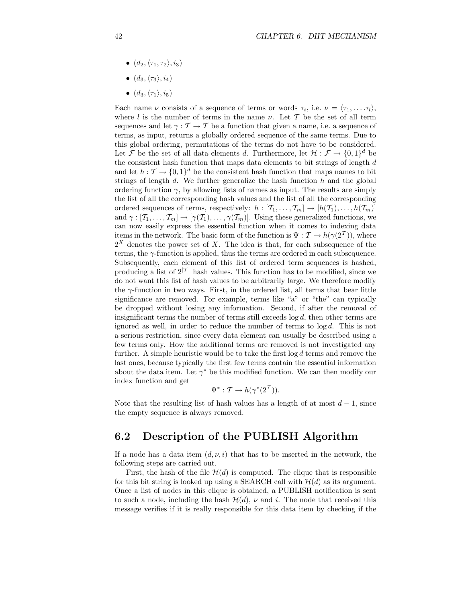- $(d_2,\langle \tau_1,\tau_2\rangle,i_3)$
- $\bullet$   $(d_3, \langle \tau_3 \rangle, i_4)$
- $\bullet$   $(d_3, \langle \tau_1 \rangle, i_5)$

Each name  $\nu$  consists of a sequence of terms or words  $\tau_i$ , i.e.  $\nu = \langle \tau_1, \ldots, \tau_l \rangle$ , where l is the number of terms in the name  $\nu$ . Let T be the set of all term sequences and let  $\gamma : \mathcal{T} \to \mathcal{T}$  be a function that given a name, i.e. a sequence of terms, as input, returns a globally ordered sequence of the same terms. Due to this global ordering, permutations of the terms do not have to be considered. Let F be the set of all data elements d. Furthermore, let  $\mathcal{H}: \mathcal{F} \to \{0,1\}^d$  be the consistent hash function that maps data elements to bit strings of length  $d$ and let  $h: \mathcal{T} \to \{0,1\}^d$  be the consistent hash function that maps names to bit strings of length  $d$ . We further generalize the hash function  $h$  and the global ordering function  $\gamma$ , by allowing lists of names as input. The results are simply the list of all the corresponding hash values and the list of all the corresponding ordered sequences of terms, respectively:  $h : [T_1, \ldots, T_m] \to [h(T_1), \ldots, h(T_m)]$ and  $\gamma : [T_1,\ldots,T_m] \to [\gamma(T_1),\ldots,\gamma(T_m)]$ . Using these generalized functions, we can now easily express the essential function when it comes to indexing data items in the network. The basic form of the function is  $\Psi : \mathcal{T} \to h(\gamma(2^T))$ , where  $2^X$  denotes the power set of X. The idea is that, for each subsequence of the terms, the  $\gamma$ -function is applied, thus the terms are ordered in each subsequence. Subsequently, each element of this list of ordered term sequences is hashed, producing a list of  $2^{|{\mathcal{T}}|}$  hash values. This function has to be modified, since we do not want this list of hash values to be arbitrarily large. We therefore modify the  $\gamma$ -function in two ways. First, in the ordered list, all terms that bear little significance are removed. For example, terms like "a" or "the" can typically be dropped without losing any information. Second, if after the removal of insignificant terms the number of terms still exceeds  $log d$ , then other terms are ignored as well, in order to reduce the number of terms to log d. This is not a serious restriction, since every data element can usually be described using a few terms only. How the additional terms are removed is not investigated any further. A simple heuristic would be to take the first  $\log d$  terms and remove the last ones, because typically the first few terms contain the essential information about the data item. Let  $\gamma^*$  be this modified function. We can then modify our index function and get

$$
\Psi^*: \mathcal{T} \to h(\gamma^*(2^{\mathcal{T}})).
$$

Note that the resulting list of hash values has a length of at most  $d-1$ , since the empty sequence is always removed.

#### 6.2 Description of the PUBLISH Algorithm

If a node has a data item  $(d, \nu, i)$  that has to be inserted in the network, the following steps are carried out.

First, the hash of the file  $\mathcal{H}(d)$  is computed. The clique that is responsible for this bit string is looked up using a SEARCH call with  $\mathcal{H}(d)$  as its argument. Once a list of nodes in this clique is obtained, a PUBLISH notification is sent to such a node, including the hash  $\mathcal{H}(d)$ ,  $\nu$  and i. The node that received this message verifies if it is really responsible for this data item by checking if the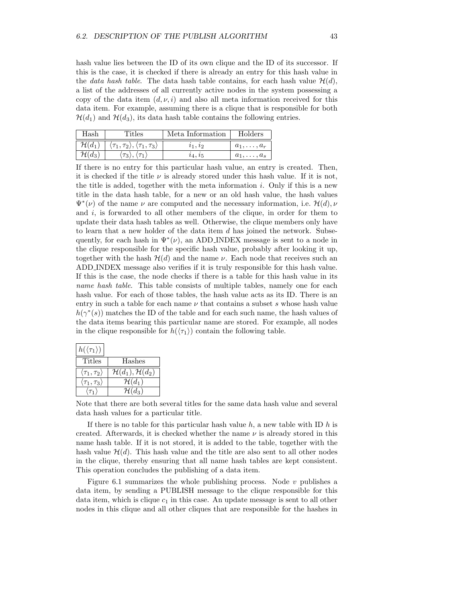hash value lies between the ID of its own clique and the ID of its successor. If this is the case, it is checked if there is already an entry for this hash value in the *data hash table*. The data hash table contains, for each hash value  $\mathcal{H}(d)$ , a list of the addresses of all currently active nodes in the system possessing a copy of the data item  $(d, \nu, i)$  and also all meta information received for this data item. For example, assuming there is a clique that is responsible for both  $\mathcal{H}(d_1)$  and  $\mathcal{H}(d_3)$ , its data hash table contains the following entries.

| Hash               | Titles                                                           | Meta Information | Holders          |
|--------------------|------------------------------------------------------------------|------------------|------------------|
| $\mathcal{H}(d_1)$ | $\langle \tau_1, \tau_2 \rangle, \langle \tau_1, \tau_3 \rangle$ | $i_1, i_2$       | $a_1,\ldots,a_r$ |
| $\mathcal{H}(d_3)$ | $\langle \tau_3\rangle, \langle \tau_1\rangle$                   | $i_4, i_5$       | $a_1,\ldots,a_s$ |

If there is no entry for this particular hash value, an entry is created. Then, it is checked if the title  $\nu$  is already stored under this hash value. If it is not, the title is added, together with the meta information  $i$ . Only if this is a new title in the data hash table, for a new or an old hash value, the hash values  $\Psi^*(\nu)$  of the name  $\nu$  are computed and the necessary information, i.e.  $\mathcal{H}(d)$ ,  $\nu$ and  $i$ , is forwarded to all other members of the clique, in order for them to update their data hash tables as well. Otherwise, the clique members only have to learn that a new holder of the data item  $d$  has joined the network. Subsequently, for each hash in  $\Psi^*(\nu)$ , an ADD\_INDEX message is sent to a node in the clique responsible for the specific hash value, probably after looking it up, together with the hash  $\mathcal{H}(d)$  and the name  $\nu$ . Each node that receives such an ADD INDEX message also verifies if it is truly responsible for this hash value. If this is the case, the node checks if there is a table for this hash value in its name hash table. This table consists of multiple tables, namely one for each hash value. For each of those tables, the hash value acts as its ID. There is an entry in such a table for each name  $\nu$  that contains a subset s whose hash value  $h(\gamma^*(s))$  matches the ID of the table and for each such name, the hash values of the data items bearing this particular name are stored. For example, all nodes in the clique responsible for  $h(\langle \tau_1 \rangle)$  contain the following table.

| $h(\langle \tau_1 \rangle)$      |                                      |
|----------------------------------|--------------------------------------|
| Titles                           | Hashes                               |
| $\langle \tau_1, \tau_2 \rangle$ | $\mathcal{H}(d_1), \mathcal{H}(d_2)$ |
| $\langle \tau_1, \tau_3 \rangle$ | $\mathcal{H}(d_1)$                   |
| $\langle \tau_1 \rangle$         | $\mathcal{H}(d_3)$                   |

Note that there are both several titles for the same data hash value and several data hash values for a particular title.

If there is no table for this particular hash value  $h$ , a new table with ID  $h$  is created. Afterwards, it is checked whether the name  $\nu$  is already stored in this name hash table. If it is not stored, it is added to the table, together with the hash value  $\mathcal{H}(d)$ . This hash value and the title are also sent to all other nodes in the clique, thereby ensuring that all name hash tables are kept consistent. This operation concludes the publishing of a data item.

Figure 6.1 summarizes the whole publishing process. Node  $v$  publishes a data item, by sending a PUBLISH message to the clique responsible for this data item, which is clique  $c_1$  in this case. An update message is sent to all other nodes in this clique and all other cliques that are responsible for the hashes in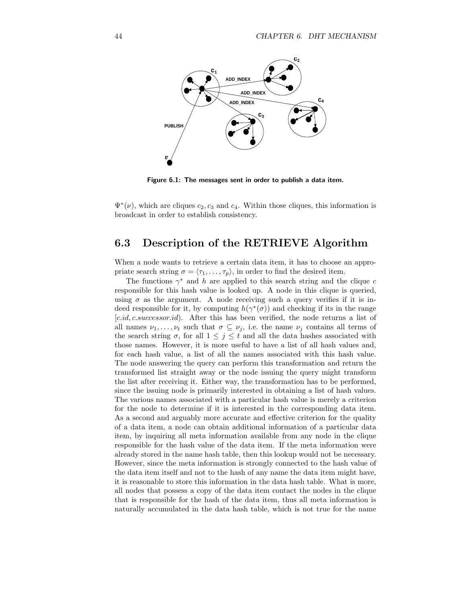

Figure 6.1: The messages sent in order to publish a data item.

 $\Psi^*(\nu)$ , which are cliques  $c_2, c_3$  and  $c_4$ . Within those cliques, this information is broadcast in order to establish consistency.

### 6.3 Description of the RETRIEVE Algorithm

When a node wants to retrieve a certain data item, it has to choose an appropriate search string  $\sigma = \langle \tau_1, \ldots, \tau_p \rangle$ , in order to find the desired item.

The functions  $\gamma^*$  and h are applied to this search string and the clique c responsible for this hash value is looked up. A node in this clique is queried, using  $\sigma$  as the argument. A node receiving such a query verifies if it is indeed responsible for it, by computing  $h(\gamma^*(\sigma))$  and checking if its in the range [c.id, c.successor.id]. After this has been verified, the node returns a list of all names  $\nu_1, \ldots, \nu_t$  such that  $\sigma \subseteq \nu_j$ , i.e. the name  $\nu_j$  contains all terms of the search string  $\sigma$ , for all  $1 \leq j \leq t$  and all the data hashes associated with those names. However, it is more useful to have a list of all hash values and, for each hash value, a list of all the names associated with this hash value. The node answering the query can perform this transformation and return the transformed list straight away or the node issuing the query might transform the list after receiving it. Either way, the transformation has to be performed, since the issuing node is primarily interested in obtaining a list of hash values. The various names associated with a particular hash value is merely a criterion for the node to determine if it is interested in the corresponding data item. As a second and arguably more accurate and effective criterion for the quality of a data item, a node can obtain additional information of a particular data item, by inquiring all meta information available from any node in the clique responsible for the hash value of the data item. If the meta information were already stored in the name hash table, then this lookup would not be necessary. However, since the meta information is strongly connected to the hash value of the data item itself and not to the hash of any name the data item might have, it is reasonable to store this information in the data hash table. What is more, all nodes that possess a copy of the data item contact the nodes in the clique that is responsible for the hash of the data item, thus all meta information is naturally accumulated in the data hash table, which is not true for the name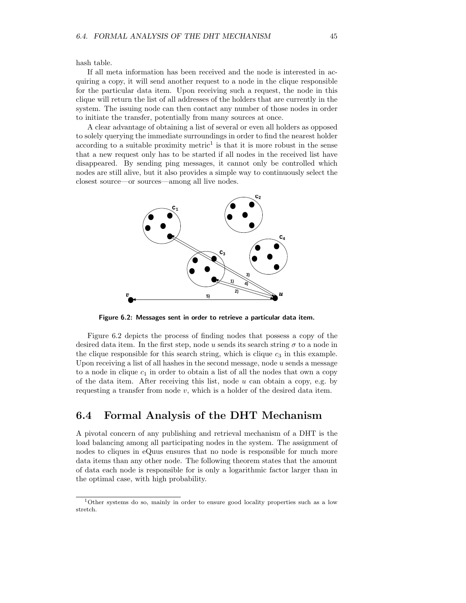hash table.

If all meta information has been received and the node is interested in acquiring a copy, it will send another request to a node in the clique responsible for the particular data item. Upon receiving such a request, the node in this clique will return the list of all addresses of the holders that are currently in the system. The issuing node can then contact any number of those nodes in order to initiate the transfer, potentially from many sources at once.

A clear advantage of obtaining a list of several or even all holders as opposed to solely querying the immediate surroundings in order to find the nearest holder according to a suitable proximity metric<sup>1</sup> is that it is more robust in the sense that a new request only has to be started if all nodes in the received list have disappeared. By sending ping messages, it cannot only be controlled which nodes are still alive, but it also provides a simple way to continuously select the closest source—or sources—among all live nodes.



Figure 6.2: Messages sent in order to retrieve a particular data item.

Figure 6.2 depicts the process of finding nodes that possess a copy of the desired data item. In the first step, node u sends its search string  $\sigma$  to a node in the clique responsible for this search string, which is clique  $c_3$  in this example. Upon receiving a list of all hashes in the second message, node  $u$  sends a message to a node in clique  $c_1$  in order to obtain a list of all the nodes that own a copy of the data item. After receiving this list, node  $u$  can obtain a copy, e.g. by requesting a transfer from node  $v$ , which is a holder of the desired data item.

#### 6.4 Formal Analysis of the DHT Mechanism

A pivotal concern of any publishing and retrieval mechanism of a DHT is the load balancing among all participating nodes in the system. The assignment of nodes to cliques in eQuus ensures that no node is responsible for much more data items than any other node. The following theorem states that the amount of data each node is responsible for is only a logarithmic factor larger than in the optimal case, with high probability.

<sup>1</sup>Other systems do so, mainly in order to ensure good locality properties such as a low stretch.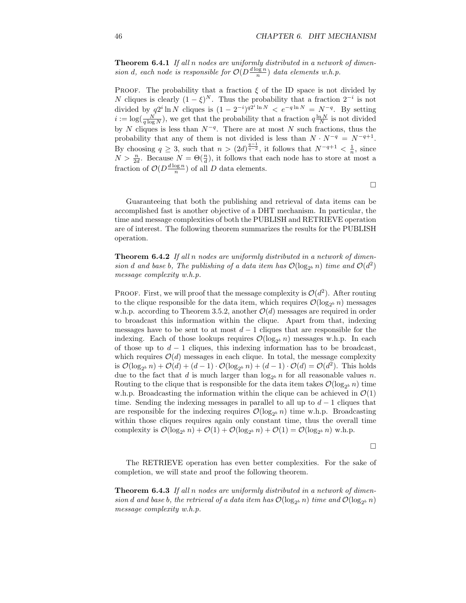Theorem 6.4.1 If all n nodes are uniformly distributed in a network of dimension d, each node is responsible for  $O(D^{\frac{d \log n}{n}})$  data elements w.h.p.

PROOF. The probability that a fraction  $\xi$  of the ID space is not divided by N cliques is clearly  $(1 - \xi)^N$ . Thus the probability that a fraction  $2^{-i}$  is not divided by  $q2^i \ln N$  cliques is  $(1 - 2^{-i})^{q2^i \ln N} < e^{-q \ln N} = N^{-q}$ . By setting  $i := \log(\frac{N}{q \log N})$ , we get that the probability that a fraction  $q \frac{\ln N}{N}$  is not divided by N cliques is less than  $N^{-q}$ . There are at most N such fractions, thus the probability that any of them is not divided is less than  $N \cdot N^{-q} = N^{-q+1}$ . By choosing  $q \geq 3$ , such that  $n > (2d)^{\frac{q-1}{q-2}}$ , it follows that  $N^{-q+1} < \frac{1}{n}$ , since  $N > \frac{n}{2d}$ . Because  $N = \Theta(\frac{n}{d})$ , it follows that each node has to store at most a fraction of  $\mathcal{O}(D^{\frac{d \log n}{n}})$  of all D data elements.

 $\Box$ 

Guaranteeing that both the publishing and retrieval of data items can be accomplished fast is another objective of a DHT mechanism. In particular, the time and message complexities of both the PUBLISH and RETRIEVE operation are of interest. The following theorem summarizes the results for the PUBLISH operation.

**Theorem 6.4.2** If all n nodes are uniformly distributed in a network of dimension d and base b, The publishing of a data item has  $\mathcal{O}(\log_2 n)$  time and  $\mathcal{O}(d^2)$ message complexity w.h.p.

PROOF. First, we will proof that the message complexity is  $\mathcal{O}(d^2)$ . After routing to the clique responsible for the data item, which requires  $\mathcal{O}(\log_{2^b} n)$  messages w.h.p. according to Theorem 3.5.2, another  $\mathcal{O}(d)$  messages are required in order to broadcast this information within the clique. Apart from that, indexing messages have to be sent to at most  $d-1$  cliques that are responsible for the indexing. Each of those lookups requires  $\mathcal{O}(\log_2 h)$  messages w.h.p. In each of those up to  $d-1$  cliques, this indexing information has to be broadcast, which requires  $\mathcal{O}(d)$  messages in each clique. In total, the message complexity is  $\mathcal{O}(\log_2 b n) + \mathcal{O}(d) + (d-1) \cdot \mathcal{O}(\log_2 b n) + (d-1) \cdot \mathcal{O}(d) = \mathcal{O}(d^2)$ . This holds due to the fact that d is much larger than  $\log_2 n$  for all reasonable values n. Routing to the clique that is responsible for the data item takes  $\mathcal{O}(\log_{2^b} n)$  time w.h.p. Broadcasting the information within the clique can be achieved in  $\mathcal{O}(1)$ time. Sending the indexing messages in parallel to all up to  $d-1$  cliques that are responsible for the indexing requires  $\mathcal{O}(\log_2 n)$  time w.h.p. Broadcasting within those cliques requires again only constant time, thus the overall time complexity is  $\mathcal{O}(\log_2 n) + \mathcal{O}(1) + \mathcal{O}(\log_2 n) + \mathcal{O}(1) = \mathcal{O}(\log_2 n)$  w.h.p.

 $\Box$ 

The RETRIEVE operation has even better complexities. For the sake of completion, we will state and proof the following theorem.

**Theorem 6.4.3** If all n nodes are uniformly distributed in a network of dimension d and base b, the retrieval of a data item has  $\mathcal{O}(\log_{2^b} n)$  time and  $\mathcal{O}(\log_{2^b} n)$ message complexity w.h.p.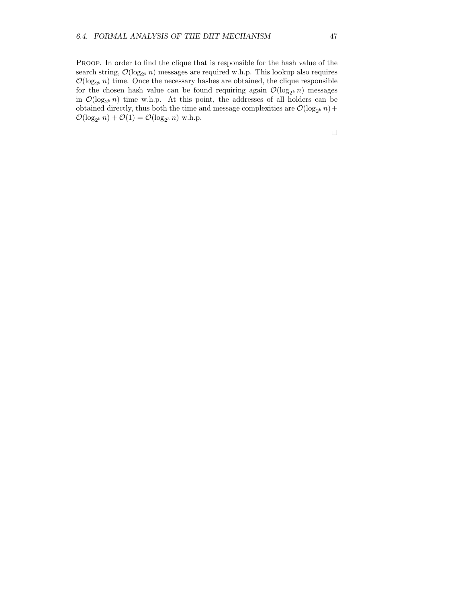PROOF. In order to find the clique that is responsible for the hash value of the search string,  $\mathcal{O}(\log_2 n)$  messages are required w.h.p. This lookup also requires  $\mathcal{O}(\log_2 h)$  time. Once the necessary hashes are obtained, the clique responsible for the chosen hash value can be found requiring again  $\mathcal{O}(\log_2 n)$  messages in  $\mathcal{O}(\log_{2^b} n)$  time w.h.p. At this point, the addresses of all holders can be obtained directly, thus both the time and message complexities are  $\mathcal{O}(\log_{2^b} n)$  +  $\mathcal{O}(\log_2 n) + \mathcal{O}(1) = \mathcal{O}(\log_2 n)$  w.h.p.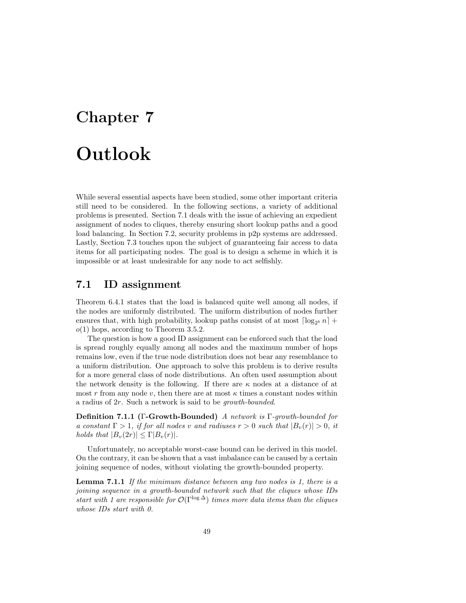### Chapter 7

# Outlook

While several essential aspects have been studied, some other important criteria still need to be considered. In the following sections, a variety of additional problems is presented. Section 7.1 deals with the issue of achieving an expedient assignment of nodes to cliques, thereby ensuring short lookup paths and a good load balancing. In Section 7.2, security problems in p2p systems are addressed. Lastly, Section 7.3 touches upon the subject of guaranteeing fair access to data items for all participating nodes. The goal is to design a scheme in which it is impossible or at least undesirable for any node to act selfishly.

### 7.1 ID assignment

Theorem 6.4.1 states that the load is balanced quite well among all nodes, if the nodes are uniformly distributed. The uniform distribution of nodes further ensures that, with high probability, lookup paths consist of at most  $\lceil \log_{2^b} n \rceil$  +  $o(1)$  hops, according to Theorem 3.5.2.

The question is how a good ID assignment can be enforced such that the load is spread roughly equally among all nodes and the maximum number of hops remains low, even if the true node distribution does not bear any resemblance to a uniform distribution. One approach to solve this problem is to derive results for a more general class of node distributions. An often used assumption about the network density is the following. If there are  $\kappa$  nodes at a distance of at most r from any node v, then there are at most  $\kappa$  times a constant nodes within a radius of 2r. Such a network is said to be growth-bounded.

Definition 7.1.1 (Γ-Growth-Bounded) A network is Γ-growth-bounded for a constant  $\Gamma > 1$ , if for all nodes v and radiuses  $r > 0$  such that  $|B_v(r)| > 0$ , it holds that  $|B_v(2r)| \leq \Gamma |B_v(r)|$ .

Unfortunately, no acceptable worst-case bound can be derived in this model. On the contrary, it can be shown that a vast imbalance can be caused by a certain joining sequence of nodes, without violating the growth-bounded property.

**Lemma 7.1.1** If the minimum distance between any two nodes is 1, there is a joining sequence in a growth-bounded network such that the cliques whose IDs start with 1 are responsible for  $\mathcal{O}(\Gamma^{\log \Delta})$  times more data items than the cliques whose IDs start with 0.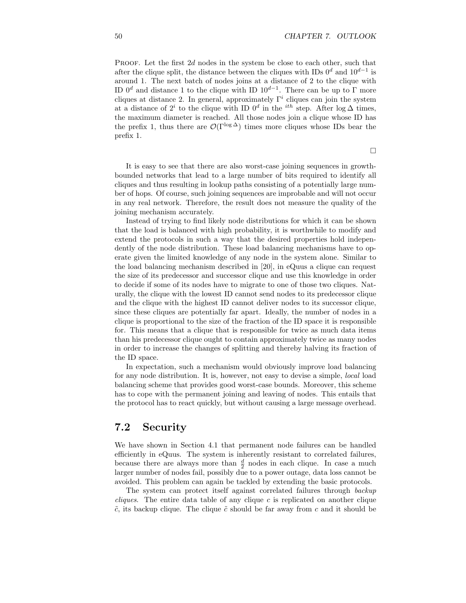PROOF. Let the first 2d nodes in the system be close to each other, such that after the clique split, the distance between the cliques with IDs  $0^d$  and  $10^{d-1}$  is around 1. The next batch of nodes joins at a distance of 2 to the clique with ID  $0^d$  and distance 1 to the clique with ID  $10^{d-1}$ . There can be up to  $\Gamma$  more cliques at distance 2. In general, approximately  $\Gamma^i$  cliques can join the system at a distance of  $2^i$  to the clique with ID  $0^d$  in the <sup>*ith*</sup> step. After  $\log \Delta$  times, the maximum diameter is reached. All those nodes join a clique whose ID has the prefix 1, thus there are  $\mathcal{O}(\Gamma^{\log \Delta})$  times more cliques whose IDs bear the prefix 1.

It is easy to see that there are also worst-case joining sequences in growthbounded networks that lead to a large number of bits required to identify all cliques and thus resulting in lookup paths consisting of a potentially large number of hops. Of course, such joining sequences are improbable and will not occur in any real network. Therefore, the result does not measure the quality of the joining mechanism accurately.

Instead of trying to find likely node distributions for which it can be shown that the load is balanced with high probability, it is worthwhile to modify and extend the protocols in such a way that the desired properties hold independently of the node distribution. These load balancing mechanisms have to operate given the limited knowledge of any node in the system alone. Similar to the load balancing mechanism described in [20], in eQuus a clique can request the size of its predecessor and successor clique and use this knowledge in order to decide if some of its nodes have to migrate to one of those two cliques. Naturally, the clique with the lowest ID cannot send nodes to its predecessor clique and the clique with the highest ID cannot deliver nodes to its successor clique, since these cliques are potentially far apart. Ideally, the number of nodes in a clique is proportional to the size of the fraction of the ID space it is responsible for. This means that a clique that is responsible for twice as much data items than his predecessor clique ought to contain approximately twice as many nodes in order to increase the changes of splitting and thereby halving its fraction of the ID space.

In expectation, such a mechanism would obviously improve load balancing for any node distribution. It is, however, not easy to devise a simple, local load balancing scheme that provides good worst-case bounds. Moreover, this scheme has to cope with the permanent joining and leaving of nodes. This entails that the protocol has to react quickly, but without causing a large message overhead.

#### 7.2 Security

We have shown in Section 4.1 that permanent node failures can be handled efficiently in eQuus. The system is inherently resistant to correlated failures, because there are always more than  $\frac{d}{2}$  nodes in each clique. In case a much larger number of nodes fail, possibly due to a power outage, data loss cannot be avoided. This problem can again be tackled by extending the basic protocols.

The system can protect itself against correlated failures through backup *cliques.* The entire data table of any clique  $c$  is replicated on another clique  $\tilde{c}$ , its backup clique. The clique  $\tilde{c}$  should be far away from c and it should be

 $\Box$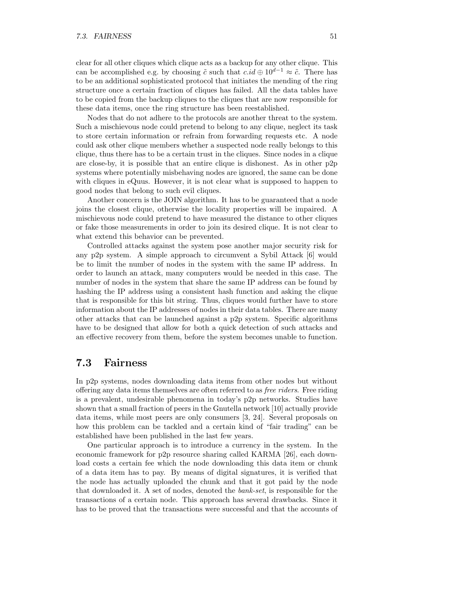clear for all other cliques which clique acts as a backup for any other clique. This can be accomplished e.g. by choosing  $\tilde{c}$  such that  $c.id \oplus 10^{d-1} \approx \tilde{c}$ . There has to be an additional sophisticated protocol that initiates the mending of the ring structure once a certain fraction of cliques has failed. All the data tables have to be copied from the backup cliques to the cliques that are now responsible for these data items, once the ring structure has been reestablished.

Nodes that do not adhere to the protocols are another threat to the system. Such a mischievous node could pretend to belong to any clique, neglect its task to store certain information or refrain from forwarding requests etc. A node could ask other clique members whether a suspected node really belongs to this clique, thus there has to be a certain trust in the cliques. Since nodes in a clique are close-by, it is possible that an entire clique is dishonest. As in other p2p systems where potentially misbehaving nodes are ignored, the same can be done with cliques in eQuus. However, it is not clear what is supposed to happen to good nodes that belong to such evil cliques.

Another concern is the JOIN algorithm. It has to be guaranteed that a node joins the closest clique, otherwise the locality properties will be impaired. A mischievous node could pretend to have measured the distance to other cliques or fake those measurements in order to join its desired clique. It is not clear to what extend this behavior can be prevented.

Controlled attacks against the system pose another major security risk for any p2p system. A simple approach to circumvent a Sybil Attack [6] would be to limit the number of nodes in the system with the same IP address. In order to launch an attack, many computers would be needed in this case. The number of nodes in the system that share the same IP address can be found by hashing the IP address using a consistent hash function and asking the clique that is responsible for this bit string. Thus, cliques would further have to store information about the IP addresses of nodes in their data tables. There are many other attacks that can be launched against a p2p system. Specific algorithms have to be designed that allow for both a quick detection of such attacks and an effective recovery from them, before the system becomes unable to function.

### 7.3 Fairness

In p2p systems, nodes downloading data items from other nodes but without offering any data items themselves are often referred to as free riders. Free riding is a prevalent, undesirable phenomena in today's p2p networks. Studies have shown that a small fraction of peers in the Gnutella network [10] actually provide data items, while most peers are only consumers [3, 24]. Several proposals on how this problem can be tackled and a certain kind of "fair trading" can be established have been published in the last few years.

One particular approach is to introduce a currency in the system. In the economic framework for p2p resource sharing called KARMA [26], each download costs a certain fee which the node downloading this data item or chunk of a data item has to pay. By means of digital signatures, it is verified that the node has actually uploaded the chunk and that it got paid by the node that downloaded it. A set of nodes, denoted the bank-set, is responsible for the transactions of a certain node. This approach has several drawbacks. Since it has to be proved that the transactions were successful and that the accounts of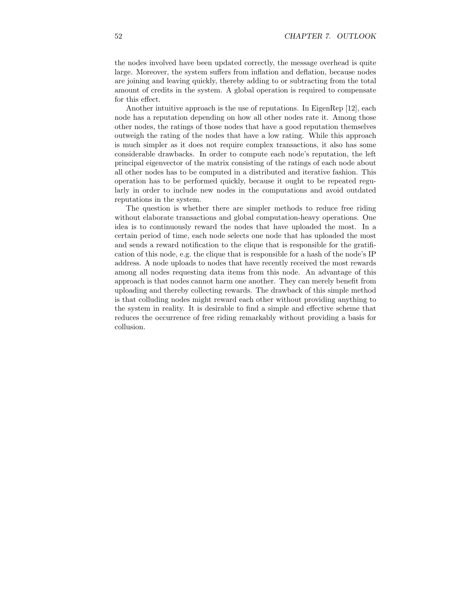the nodes involved have been updated correctly, the message overhead is quite large. Moreover, the system suffers from inflation and deflation, because nodes are joining and leaving quickly, thereby adding to or subtracting from the total amount of credits in the system. A global operation is required to compensate for this effect.

Another intuitive approach is the use of reputations. In EigenRep [12], each node has a reputation depending on how all other nodes rate it. Among those other nodes, the ratings of those nodes that have a good reputation themselves outweigh the rating of the nodes that have a low rating. While this approach is much simpler as it does not require complex transactions, it also has some considerable drawbacks. In order to compute each node's reputation, the left principal eigenvector of the matrix consisting of the ratings of each node about all other nodes has to be computed in a distributed and iterative fashion. This operation has to be performed quickly, because it ought to be repeated regularly in order to include new nodes in the computations and avoid outdated reputations in the system.

The question is whether there are simpler methods to reduce free riding without elaborate transactions and global computation-heavy operations. One idea is to continuously reward the nodes that have uploaded the most. In a certain period of time, each node selects one node that has uploaded the most and sends a reward notification to the clique that is responsible for the gratification of this node, e.g. the clique that is responsible for a hash of the node's IP address. A node uploads to nodes that have recently received the most rewards among all nodes requesting data items from this node. An advantage of this approach is that nodes cannot harm one another. They can merely benefit from uploading and thereby collecting rewards. The drawback of this simple method is that colluding nodes might reward each other without providing anything to the system in reality. It is desirable to find a simple and effective scheme that reduces the occurrence of free riding remarkably without providing a basis for collusion.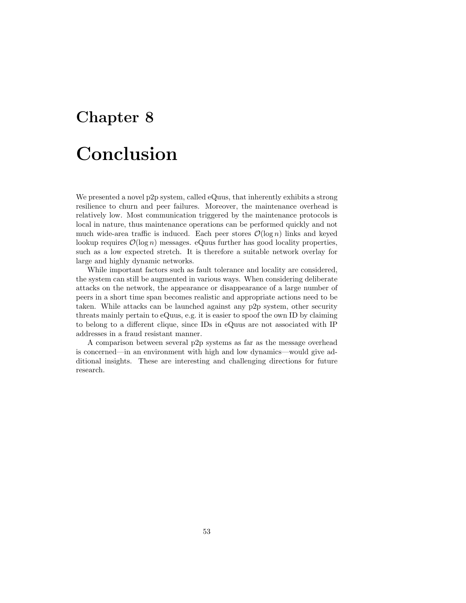### Chapter 8

# Conclusion

We presented a novel p2p system, called eQuus, that inherently exhibits a strong resilience to churn and peer failures. Moreover, the maintenance overhead is relatively low. Most communication triggered by the maintenance protocols is local in nature, thus maintenance operations can be performed quickly and not much wide-area traffic is induced. Each peer stores  $\mathcal{O}(\log n)$  links and keyed lookup requires  $\mathcal{O}(\log n)$  messages. eQuus further has good locality properties, such as a low expected stretch. It is therefore a suitable network overlay for large and highly dynamic networks.

While important factors such as fault tolerance and locality are considered, the system can still be augmented in various ways. When considering deliberate attacks on the network, the appearance or disappearance of a large number of peers in a short time span becomes realistic and appropriate actions need to be taken. While attacks can be launched against any p2p system, other security threats mainly pertain to eQuus, e.g. it is easier to spoof the own ID by claiming to belong to a different clique, since IDs in eQuus are not associated with IP addresses in a fraud resistant manner.

A comparison between several p2p systems as far as the message overhead is concerned—in an environment with high and low dynamics—would give additional insights. These are interesting and challenging directions for future research.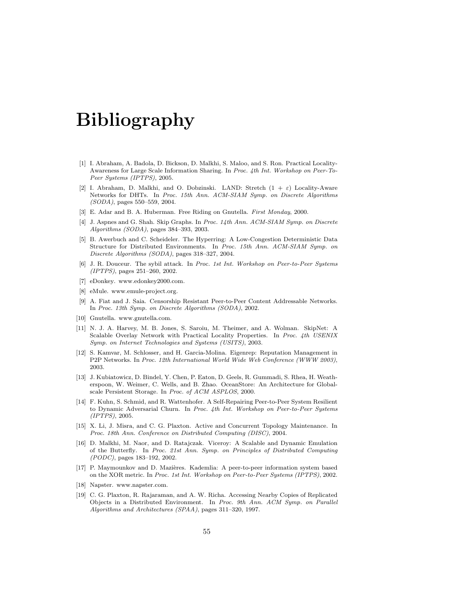# Bibliography

- [1] I. Abraham, A. Badola, D. Bickson, D. Malkhi, S. Maloo, and S. Ron. Practical Locality-Awareness for Large Scale Information Sharing. In Proc. 4th Int. Workshop on Peer-To-Peer Systems (IPTPS), 2005.
- [2] I. Abraham, D. Malkhi, and O. Dobzinski. LAND: Stretch  $(1 + \varepsilon)$  Locality-Aware Networks for DHTs. In Proc. 15th Ann. ACM-SIAM Symp. on Discrete Algorithms (SODA), pages 550–559, 2004.
- [3] E. Adar and B. A. Huberman. Free Riding on Gnutella. First Monday, 2000.
- [4] J. Aspnes and G. Shah. Skip Graphs. In Proc. 14th Ann. ACM-SIAM Symp. on Discrete Algorithms (SODA), pages 384–393, 2003.
- [5] B. Awerbuch and C. Scheideler. The Hyperring: A Low-Congestion Deterministic Data Structure for Distributed Environments. In Proc. 15th Ann. ACM-SIAM Symp. on Discrete Algorithms (SODA), pages 318–327, 2004.
- [6] J. R. Douceur. The sybil attack. In Proc. 1st Int. Workshop on Peer-to-Peer Systems (IPTPS), pages 251–260, 2002.
- [7] eDonkey. www.edonkey2000.com.
- [8] eMule. www.emule-project.org.
- [9] A. Fiat and J. Saia. Censorship Resistant Peer-to-Peer Content Addressable Networks. In Proc. 13th Symp. on Discrete Algorithms (SODA), 2002.
- [10] Gnutella. www.gnutella.com.
- [11] N. J. A. Harvey, M. B. Jones, S. Saroiu, M. Theimer, and A. Wolman. SkipNet: A Scalable Overlay Network with Practical Locality Properties. In Proc. 4th USENIX Symp. on Internet Technologies and Systems (USITS), 2003.
- [12] S. Kamvar, M. Schlosser, and H. Garcia-Molina. Eigenrep: Reputation Management in P2P Networks. In Proc. 12th International World Wide Web Conference (WWW 2003), 2003.
- [13] J. Kubiatowicz, D. Bindel, Y. Chen, P. Eaton, D. Geels, R. Gummadi, S. Rhea, H. Weatherspoon, W. Weimer, C. Wells, and B. Zhao. OceanStore: An Architecture for Globalscale Persistent Storage. In Proc. of ACM ASPLOS, 2000.
- [14] F. Kuhn, S. Schmid, and R. Wattenhofer. A Self-Repairing Peer-to-Peer System Resilient to Dynamic Adversarial Churn. In Proc. 4th Int. Workshop on Peer-to-Peer Systems (IPTPS), 2005.
- [15] X. Li, J. Misra, and C. G. Plaxton. Active and Concurrent Topology Maintenance. In Proc. 18th Ann. Conference on Distributed Computing (DISC), 2004.
- [16] D. Malkhi, M. Naor, and D. Ratajczak. Viceroy: A Scalable and Dynamic Emulation of the Butterfly. In Proc. 21st Ann. Symp. on Principles of Distributed Computing (PODC), pages 183–192, 2002.
- [17] P. Maymounkov and D. Mazières. Kademlia: A peer-to-peer information system based on the XOR metric. In Proc. 1st Int. Workshop on Peer-to-Peer Systems (IPTPS), 2002.
- [18] Napster. www.napster.com.
- [19] C. G. Plaxton, R. Rajaraman, and A. W. Richa. Accessing Nearby Copies of Replicated Objects in a Distributed Environment. In Proc. 9th Ann. ACM Symp. on Parallel Algorithms and Architectures (SPAA), pages 311–320, 1997.